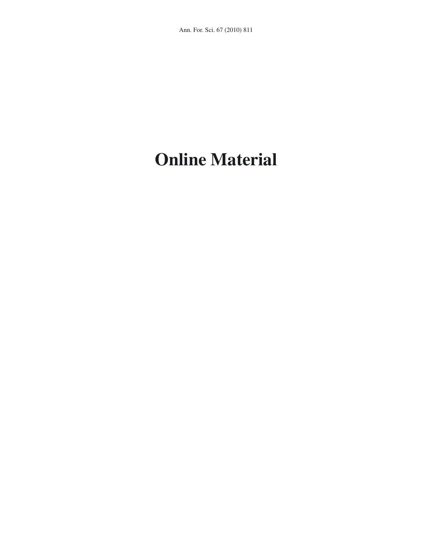# **Online Material**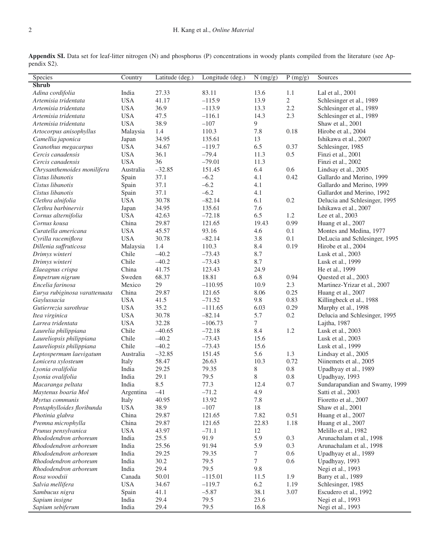**Appendix SI.** Data set for leaf-litter nitrogen (N) and phosphorus (P) concentrations in woody plants compiled from the literature (see Appendix S2).

| Species                       | Country    | Latitude (deg.) | Longitude (deg.) | N (mg/g) | P(mg/g)        | Sources                        |
|-------------------------------|------------|-----------------|------------------|----------|----------------|--------------------------------|
| <b>Shrub</b>                  |            |                 |                  |          |                |                                |
| Adina cordifolia              | India      | 27.33           | 83.11            | 13.6     | 1.1            | Lal et al., 2001               |
| Artemisia tridentata          | <b>USA</b> | 41.17           | $-115.9$         | 13.9     | $\overline{2}$ | Schlesinger et al., 1989       |
| Artemisia tridentata          | <b>USA</b> | 36.9            | $-113.9$         | 13.3     | $2.2\,$        | Schlesinger et al., 1989       |
| Artemisia tridentata          | <b>USA</b> | 47.5            | $-116.1$         | 14.3     | 2.3            | Schlesinger et al., 1989       |
| Artemisia tridentata          | <b>USA</b> | 38.9            | $-107$           | 9        |                | Shaw et al., 2001              |
| Artocorpus anisophyllus       | Malaysia   | 1.4             | 110.3            | 7.8      | 0.18           | Hirobe et al., 2004            |
| Camellia japonica             | Japan      | 34.95           | 135.61           | 13       |                | Ishikawa et al., 2007          |
| Ceanothus megacarpus          | <b>USA</b> | 34.67           | $-119.7$         | 6.5      | 0.37           | Schlesinger, 1985              |
| Cercis canadensis             | <b>USA</b> | 36.1            | $-79.4$          | 11.3     | 0.5            | Finzi et al., 2001             |
| Cercis canadensis             | <b>USA</b> | 36              | $-79.01$         | 11.3     |                | Finzi et al., 2002             |
| Chrysanthemoides monilifera   | Australia  | $-32.85$        | 151.45           | 6.4      | 0.6            | Lindsay et al., 2005           |
| Cistus libanotis              | Spain      | 37.1            | $-6.2$           | 4.1      | 0.42           | Gallardo and Merino, 1999      |
| Cistus libanotis              | Spain      | 37.1            | $-6.2$           | 4.1      |                | Gallardo and Merino, 1999      |
| Cistus libanotis              | Spain      | 37.1            | $-6.2$           | 4.1      |                | Gallardot and Merino, 1992     |
| Clethra alnifolia             | <b>USA</b> | 30.78           | $-82.14$         | 6.1      | 0.2            | Delucia and Schlesinger, 1995  |
| Clethra barbinervis           | Japan      | 34.95           | 135.61           | 7.6      |                | Ishikawa et al., 2007          |
| Cornus alternifolia           | <b>USA</b> | 42.63           | $-72.18$         | 6.5      | 1.2            | Lee et al., 2003               |
| Cornus kousa                  | China      | 29.87           | 121.65           | 19.43    | 0.99           | Huang et al., 2007             |
| Curatella americana           | <b>USA</b> | 45.57           | 93.16            | 4.6      | 0.1            | Montes and Medina, 1977        |
| Cyrilla racemiflora           | <b>USA</b> | 30.78           | $-82.14$         | 3.8      | 0.1            | DeLucia and Schlesinger, 1995  |
| Dillenia suffruticosa         | Malaysia   | 1.4             | 110.3            | 8.4      | 0.19           | Hirobe et al., 2004            |
| Drimys winteri                | Chile      | $-40.2$         | $-73.43$         | 8.7      |                | Lusk et al., 2003              |
| Drimys winteri                | Chile      | $-40.2$         | $-73.43$         | 8.7      |                | Lusk et al., 1999              |
| Elaeagnus crispa              | China      | 41.75           | 123.43           | 24.9     |                | He et al., 1999                |
| Empetrum nigrum               | Sweden     | 68.37           | 18.81            | 6.8      | 0.94           | Quested et al., 2003           |
| Encelia farinosa              | Mexico     | 29              | $-110.95$        | 10.9     | 2.3            | Martinez-Yrizar et al., 2007   |
| Eurya rubiginosa varattenuata | China      | 29.87           | 121.65           | 8.06     | 0.25           | Huang et al., 2007             |
| Gaylussacia                   | <b>USA</b> | 41.5            | $-71.52$         | 9.8      | 0.83           | Killingbeck et al., 1988       |
| Gutierrezia sarothrae         | <b>USA</b> | 35.2            | $-111.65$        | 6.03     | 0.29           | Murphy et al., 1998            |
| Itea virginica                | <b>USA</b> | 30.78           | $-82.14$         | 5.7      | 0.2            | Delucia and Schlesinger, 1995  |
| Larrea tridentata             | <b>USA</b> | 32.28           | $-106.73$        | $\tau$   |                | Lajtha, 1987                   |
| Laurelia philippiana          | Chile      | $-40.65$        | $-72.18$         | 8.4      | 1.2            | Lusk et al., 2003              |
| Laureliopsis philippiana      | Chile      | $-40.2$         | $-73.43$         | 15.6     |                | Lusk et al., 2003              |
| Laureliopsis philippiana      | Chile      | $-40.2$         | $-73.43$         | 15.6     |                | Lusk et al., 1999              |
| Leptospermum laevigatum       | Australia  | $-32.85$        | 151.45           | 5.6      | 1.3            | Lindsay et al., 2005           |
| Lonicera xylosteum            | Italy      | 58.47           | 26.63            | 10.3     | 0.72           | Niinemets et al., 2005         |
| Lyonia ovalifolia             | India      | 29.25           | 79.35            | $8\,$    | 0.8            | Upadhyay et al., 1989          |
| Lyonia ovalifolia             | India      | 29.1            | 79.5             | $8\,$    | 0.8            | Upadhyay, 1993                 |
| Macaranga peltata             | India      | 8.5             | 77.3             | 12.4     | 0.7            | Sundarapandian and Swamy, 1999 |
| Maytenus boaria Mol           | Argentina  | $-41$           | $-71.2$          | 4.9      |                | Satti et al., 2003             |
| Myrtus communis               | Italy      | 40.95           | 13.92            | 7.8      |                | Fioretto et al., 2007          |
| Pentaphylloides floribunda    | <b>USA</b> | 38.9            | $-107$           | $18\,$   |                | Shaw et al., 2001              |
| Photinia glabra               | China      | 29.87           | 121.65           | 7.82     | 0.51           | Huang et al., 2007             |
| Premna microphylla            | China      | 29.87           | 121.65           | 22.83    | 1.18           | Huang et al., 2007             |
| Prunus pensylvanica           | <b>USA</b> | 43.97           | $-71.1$          | 12       |                | Melillo et al., 1982           |
| Rhododendron arboreum         | India      | 25.5            | 91.9             | 5.9      | 0.3            | Arunachalam et al., 1998       |
| Rhododendron arboreum         | India      | 25.56           | 91.94            | 5.9      | 0.3            | Arunachalam et al., 1998       |
| Rhododendron arboreum         | India      | 29.25           | 79.35            | $\tau$   | 0.6            | Upadhyay et al., 1989          |
| Rhododendron arboreum         | India      | 30.2            | 79.5             | $\tau$   | 0.6            | Upadhyay, 1993                 |
| Rhododendron arboreum         | India      | 29.4            | 79.5             | 9.8      |                | Negi et al., 1993              |
| Rosa woodsii                  | Canada     | 50.01           | $-115.01$        | 11.5     | 1.9            | Barry et al., 1989             |
| Salvia mellifera              | <b>USA</b> | 34.67           | $-119.7$         | 6.2      | 1.19           | Schlesinger, 1985              |
| Sambucus nigra                | Spain      | 41.1            | $-5.87$          | 38.1     | 3.07           | Escudero et al., 1992          |
| Sapium insigne                | India      | 29.4            | 79.5             | 23.6     |                | Negi et al., 1993              |
| Sapium sebiferum              | India      | 29.4            | 79.5             | 16.8     |                | Negi et al., 1993              |
|                               |            |                 |                  |          |                |                                |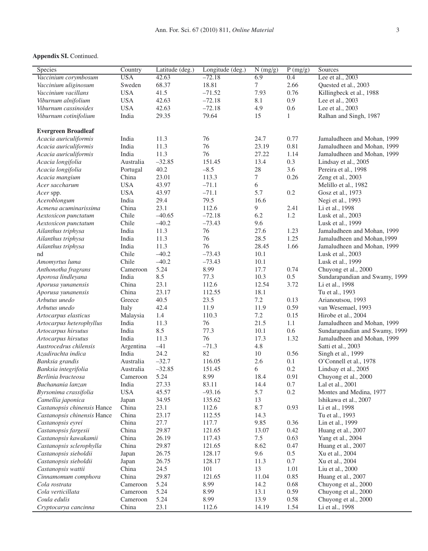| Species                     | Country    | Latitude (deg.) | Longitude (deg.) | N (mg/g) | P(mg/g) | Sources                        |
|-----------------------------|------------|-----------------|------------------|----------|---------|--------------------------------|
| Vaccinium corymbosum        | <b>USA</b> | 42.63           | $-72.18$         | 6.9      | 0.4     | Lee et al., 2003               |
| Vaccinium uliginosum        | Sweden     | 68.37           | 18.81            | $\tau$   | 2.66    | Quested et al., 2003           |
| Vaccinium vacillans         | <b>USA</b> | 41.5            | $-71.52$         | 7.93     | 0.76    | Killingbeck et al., 1988       |
| Viburnum alnifolium         | <b>USA</b> | 42.63           | $-72.18$         | 8.1      | 0.9     | Lee et al., 2003               |
| Viburnum cassinoides        | <b>USA</b> | 42.63           | $-72.18$         | 4.9      | 0.6     | Lee et al., 2003               |
| Viburnum cotinifolium       | India      | 29.35           | 79.64            | 15       | 1       | Ralhan and Singh, 1987         |
|                             |            |                 |                  |          |         |                                |
| <b>Evergreen Broadleaf</b>  |            |                 |                  |          |         |                                |
| Acacia auriculiformis       | India      | 11.3            | 76               | 24.7     | 0.77    | Jamaludheen and Mohan, 1999    |
| Acacia auriculiformis       | India      | 11.3            | 76               | 23.19    | 0.81    | Jamaludheen and Mohan, 1999    |
| Acacia auriculiformis       | India      | 11.3            | 76               | 27.22    | 1.14    | Jamaludheen and Mohan, 1999    |
| Acacia longifolia           | Australia  | $-32.85$        | 151.45           | 13.4     | 0.3     | Lindsay et al., 2005           |
| Acacia longifolia           | Portugal   | 40.2            | $-8.5$           | $28\,$   | 3.6     | Pereira et al., 1998           |
| Acacia mangium              | China      | 23.01           | 113.3            | $\tau$   | 0.26    | Zeng et al., 2003              |
| Acer saccharum              | <b>USA</b> | 43.97           | $-71.1$          | 6        |         | Melillo et al., 1982           |
| Acer spp.                   | <b>USA</b> | 43.97           | $-71.1$          | 5.7      | 0.2     | Gosz et al., 1973              |
| Aceroblongum                | India      | 29.4            | 79.5             | 16.6     |         | Negi et al., 1993              |
| Acmena acuminarissima       | China      | 23.1            | 112.6            | 9        | 2.41    | Li et al., 1998                |
| Aextoxicon punctatum        | Chile      | $-40.65$        | $-72.18$         | 6.2      | 1.2     | Lusk et al., 2003              |
| Aextoxicon punctatum        | Chile      | $-40.2$         | $-73.43$         | 9.6      |         | Lusk et al., 1999              |
| Ailanthus triphysa          | India      | 11.3            | 76               | 27.6     | 1.23    | Jamaludheen and Mohan, 1999    |
| Ailanthus triphysa          | India      | 11.3            | 76               | 28.5     | 1.25    | Jamaludheen and Mohan, 1999    |
| Ailanthus triphysa          | India      | 11.3            | 76               | 28.45    | 1.66    | Jamaludheen and Mohan, 1999    |
| nd                          | Chile      | $-40.2$         | $-73.43$         | 10.1     |         | Lusk et al., 2003              |
| Amomyrtus luma              | Chile      | $-40.2$         | $-73.43$         | 10.1     |         | Lusk et al., 1999              |
| Anthonotha fragrans         | Cameroon   | 5.24            | 8.99             | 17.7     | 0.74    | Chuyong et al., 2000           |
| Aporosa lindleyana          | India      | 8.5             | 77.3             | 10.3     | 0.5     | Sundarapandian and Swamy, 1999 |
| Aporusa yunanensis          | China      | 23.1            | 112.6            | 12.54    | 3.72    | Li et al., 1998                |
| Aporusa yunanensis          | China      | 23.17           | 112.55           | 18.1     |         | Tu et al., 1993                |
| Arbutus unedo               | Greece     | 40.5            | 23.5             | 7.2      | 0.13    | Arianoutsou, 1993              |
| Arbutus unedo               | Italy      | 42.4            | 11.9             | 11.9     | 0.59    | van Wesemael, 1993             |
| Artocarpus elasticus        | Malaysia   | 1.4             | 110.3            | 7.2      | 0.15    | Hirobe et al., 2004            |
| Artocarpus heterophyllus    | India      | 11.3            | 76               | 21.5     | 1.1     | Jamaludheen and Mohan, 1999    |
| Artocarpus hirsutus         | India      | 8.5             | 77.3             | 10.1     | 0.6     | Sundarapandian and Swamy, 1999 |
| Artocarpus hirsutus         | India      | 11.3            | 76               | 17.3     | 1.32    | Jamaludheen and Mohan, 1999    |
| Austrocedrus chilensis      | Argentina  | $-41$           | $-71.3$          | 4.8      |         | Satti et al., 2003             |
| Azadirachta indica          | India      | 24.2            | 82               | 10       | 0.56    | Singh et al., 1999             |
| Banksia grandis             | Australia  | $-32.7$         | 116.05           | 2.6      | 0.1     | O'Connell et al., 1978         |
| Banksia integrifolia        | Australia  | $-32.85$        | 151.45           | 6        | 0.2     | Lindsay et al., 2005           |
| Berlinia bracteosa          | Cameroon   | 5.24            | 8.99             | 18.4     | 0.91    | Chuyong et al., 2000           |
| Buchanania lanzan           | India      | 27.33           | 83.11            | 14.4     | 0.7     | Lal et al., 2001               |
| Byrsonima crassifolia       | <b>USA</b> | 45.57           | $-93.16$         | 5.7      | $0.2\,$ | Montes and Medina, 1977        |
| Camellia japonica           | Japan      | 34.95           | 135.62           | 13       |         | Ishikawa et al., 2007          |
| Castanopsis chinensis Hance | China      | 23.1            | 112.6            | 8.7      | 0.93    | Li et al., 1998                |
| Castanopsis chinensis Hance | China      | 23.17           | 112.55           | 14.3     |         | Tu et al., 1993                |
| Castanopsis eyrei           | China      | 27.7            | 117.7            | 9.85     | 0.36    | Lin et al., 1999               |
| Castanopsis fargesii        | China      | 29.87           | 121.65           | 13.07    | 0.42    | Huang et al., 2007             |
| Castanopsis kawakamii       | China      | 26.19           | 117.43           | 7.5      | 0.63    | Yang et al., 2004              |
| Castanopsis sclerophylla    | China      | 29.87           | 121.65           | 8.62     | 0.47    | Huang et al., 2007             |
| Castanopsis sieboldii       | Japan      | 26.75           | 128.17           | 9.6      | $0.5\,$ | Xu et al., 2004                |
| Castanopsis sieboldii       | Japan      | 26.75           | 128.17           | 11.3     | $0.7\,$ | Xu et al., 2004                |
| Castanopsis wattii          | China      | 24.5            | 101              | 13       | 1.01    | Liu et al., 2000               |
| Cinnamomum comphora         | China      | 29.87           | 121.65           | 11.04    | 0.85    | Huang et al., 2007             |
| Cola rostrata               | Cameroon   | 5.24            | 8.99             | 14.2     | 0.68    | Chuyong et al., 2000           |
| Cola verticillata           | Cameroon   | 5.24            | 8.99             | 13.1     | 0.59    | Chuyong et al., 2000           |
| Coula edulis                | Cameroon   | 5.24            | 8.99             | 13.9     | 0.58    | Chuyong et al., 2000           |
| Cryptocarya cancinna        | China      | 23.1            | 112.6            | 14.19    | 1.54    | Li et al., 1998                |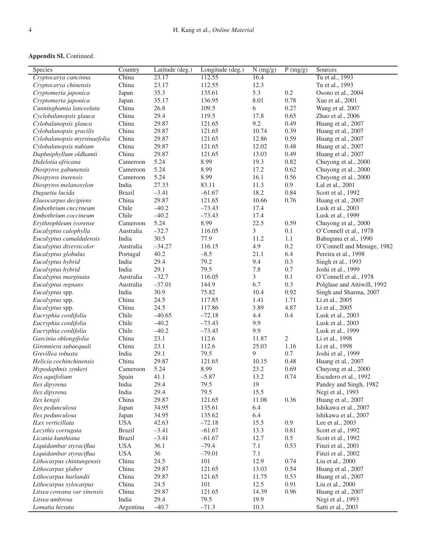| Species                                               | Country             | Latitude (deg.) | Longitude (deg.)   | $\overline{N(mg/g)}$ | P(mg/g)    | Sources                                        |
|-------------------------------------------------------|---------------------|-----------------|--------------------|----------------------|------------|------------------------------------------------|
| Cryptocarya cancinna                                  | China               | 23.17           | 112.55             | 16.4                 |            | Tu et al., 1993                                |
| Cryptocarya chinensis                                 | China               | 23.17           | 112.55             | 12.3                 |            | Tu et al., 1993                                |
| Cryptomeria japonica                                  | Japan               | 35.3            | 135.61             | 5.3                  | 0.2        | Osono et al., 2004                             |
| Cryptomeria japonica                                  | Japan               | 35.17           | 136.95             | 8.01                 | 0.78       | Xue et al., 2001                               |
| Cunninghamia lanceolata                               | China               | 26.8            | 109.5              | 6                    | 0.27       | Wang et al. 2007                               |
| Cyclobalanopsis glauca                                | China               | 29.4            | 119.5              | 17.8                 | 0.65       | Zhao et al., 2006                              |
| Cylobalanopsis glauca                                 | China               | 29.87           | 121.65             | 9.2                  | 0.49       | Huang et al., 2007                             |
| Cylobalanopsis gracilis                               | China               | 29.87           | 121.65             | 10.74                | 0.39       | Huang et al., 2007                             |
| Cylobalanopsis myrsinaefolia                          | China               | 29.87           | 121.65             | 12.86                | 0.59       | Huang et al., 2007                             |
| Cylobalanopsis nubium                                 | China               | 29.87           | 121.65             | 12.02                | 0.48       | Huang et al., 2007                             |
| Daphniphyllum oldhamii                                | China               | 29.87           | 121.65             | 13.03                | 0.49       | Huang et al., 2007                             |
| Didelotia africana                                    | Cameroon            | 5.24            | 8.99               | 19.3                 | 0.82       | Chuyong et al., 2000                           |
| Diospyros gabunensis                                  | Cameroon            | 5.24            | 8.99               | 17.2                 | 0.62       | Chuyong et al., 2000                           |
| Diospyros iturensis                                   | Cameroon            | 5.24            | 8.99               | 16.1                 | 0.56       | Chuyong et al., 2000                           |
| Diospyros melanoxylon                                 | India               | 27.33           | 83.11              | 11.3                 | 0.9        | Lal et al., 2001                               |
| Duguetia lucida                                       | <b>Brazil</b>       | $-3.41$         | $-61.67$           | 18.2                 | 0.84       | Scott et al., 1992                             |
| Elaeocarpus decipiens                                 | China               | 29.87           | 121.65             | 10.66                | 0.76       | Huang et al., 2007                             |
| Embothrium cnccrneum                                  | Chile               | $-40.2$         | $-73.43$           | 17.4                 |            | Lusk et al., 2003                              |
| Embothrium coccineum                                  | Chile               | $-40.2$         | $-73.43$           | 17.4                 |            | Lusk et al., 1999                              |
| Erythrophleum ivorense                                | Cameroon            | 5.24            | 8.99               | 22.5                 | 0.59       | Chuyong et al., 2000                           |
| Eucalyptus calophylla                                 | Australia           | $-32.7$         | 116.05             | 3                    | 0.1        | O'Connell et al., 1978                         |
| Eucalyptus camaldulensis                              | India               | 30.5            | 77.9               | 11.2                 | 1.1        | Bahuguna et al., 1990                          |
| Eucalyptus diversicolor                               | Australia           | $-34.27$        | 116.15             | 4.9                  | 0.2        | O'Connell and Menage, 1982                     |
| Eucalyptus globulus                                   | Portugal            | 40.2            | $-8.5$             | 21.1                 | 6.4        | Pereira et al., 1998                           |
| Eucalyptus hybrid                                     | India               | 29.4            | 79.2               | 9.4                  | 0.3        | Singh et al., 1993                             |
| Eucalyptus hybrid                                     | India               | 29.1            | 79.5               | 7.8                  | 0.7        | Joshi et al., 1999                             |
| Eucalyptus marginata                                  | Australia           | $-32.7$         | 116.05             | 3                    | 0.1        | O'Connell et al., 1978                         |
| Eucalyptus regnans                                    | Australia           | $-37.01$        | 144.9              | 6.7                  | 0.3        | Polglase and Attiwill, 1992                    |
| Eucalyptus spp.                                       | India               | 30.9            | 75.82              | 10.4                 | 0.92       | Singh and Sharma, 2007                         |
| Eucalyptus spp.                                       | China               | 24.5            | 117.85             | 1.41                 | 1.71       | Li et al., 2005                                |
| Eucalyptus spp.                                       | China               | 24.5            | 117.86             | 3.89                 | 4.87       | Li et al., 2005                                |
| Eucryphia cordifolia                                  | Chile               | $-40.65$        | $-72.18$           | 4.4                  | 0.4        | Lusk et al., 2003                              |
| Eucryphia cordifolia                                  | Chile               | $-40.2$         | $-73.43$           | 9.9                  |            | Lusk et al., 2003                              |
| Eucryphia cordifolia                                  | Chile               | $-40.2$         | $-73.43$           | 9.9                  |            | Lusk et al., 1999                              |
| Garcinia oblongifolia                                 | China               | 23.1            | 112.6              | 11.87                | $\sqrt{2}$ | Li et al., 1998                                |
| Gironniera subaequali                                 | China               | 23.1            | 112.6              | 25.03                | 1.16       | Li et al., 1998                                |
| Grevillea robusta                                     | India               | 29.1            | 79.5               | 9                    | 0.7        | Joshi et al., 1999                             |
| Helicia cochinchinensis                               | China               | 29.87           | 121.65             | 10.15                | 0.48       | Huang et al., 2007                             |
| Hypodaphnis zenkeri                                   | Cameroon            | 5.24            | 8.99               | 23.2                 | 0.69       | Chuyong et al., 2000                           |
| Ilex aquifolium                                       | Spain               | 41.1            | $-5.87$            | 13.2                 | 0.74       | Escudero et al., 1992                          |
| Ilex dipyrena                                         | India               | 29.4            | 79.5               | 19                   |            | Pandey and Singh, 1982                         |
| Ilex dipyrena                                         | India               | 29.4            | 79.5               | 15.5                 |            | Negi et al., 1993                              |
| Ilex kengii                                           | China<br>Japan      | 29.87<br>34.95  | 121.65<br>135.61   | 11.08<br>6.4         | 0.36       | Huang et al., 2007                             |
| Ilex pedunculosa                                      |                     |                 |                    |                      |            | Ishikawa et al., 2007<br>Ishikawa et al., 2007 |
| Ilex pedunculosa<br>ILex verticillata                 | Japan<br><b>USA</b> | 34.95<br>42.63  | 135.62<br>$-72.18$ | 6.4<br>15.5          | 0.9        |                                                |
|                                                       | <b>Brazil</b>       | $-3.41$         | $-61.67$           | 13.3                 | 0.81       | Lee et al., 2003                               |
| Lecythis corrugata<br>Licania kunthiana               | <b>Brazil</b>       | $-3.41$         | $-61.67$           | 12.7                 | 0.5        | Scott et al., 1992                             |
|                                                       | <b>USA</b>          | 36.1            | $-79.4$            | 7.1                  | 0.53       | Scott et al., 1992                             |
| Liquidambar styraciflua<br>Liquidambar styraciflua    | <b>USA</b>          | 36              | $-79.01$           | 7.1                  |            | Finzi et al., 2001<br>Finzi et al., 2002       |
|                                                       | China               | 24.5            | 101                | 12.9                 | 0.74       |                                                |
| Lithocarpus chintungensis<br>Lithocarpus glaber       | China               | 29.87           | 121.65             | 13.03                | 0.54       | Liu et al., 2000                               |
| Lithocarpus harlandii                                 | China               | 29.87           |                    |                      | 0.53       | Huang et al., 2007                             |
|                                                       | China               | 24.5            | 121.65<br>101      | 11.75<br>12.5        | 0.91       | Huang et al., 2007<br>Liu et al., 2000         |
| Lithocarpus xylocarpus<br>Litsea coreana var sinensis | China               | 29.87           | 121.65             |                      | 0.96       |                                                |
| Litsea umbrosa                                        | India               | 29.4            | 79.5               | 14.39<br>19.9        |            | Huang et al., 2007<br>Negi et al., 1993        |
|                                                       |                     |                 |                    |                      |            |                                                |
| Lomatia hirsuta                                       | Argentina           | $-40.7$         | $-71.3$            | 10.3                 |            | Satti et al., 2003                             |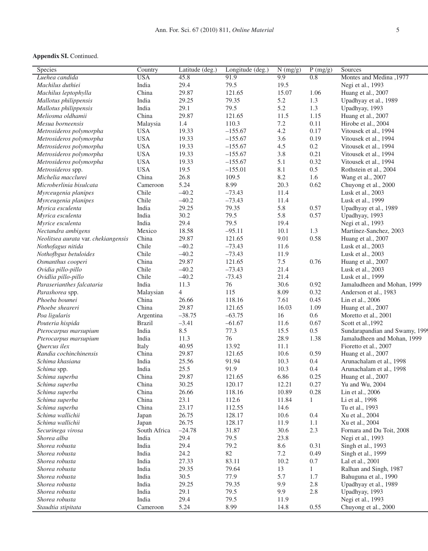| Species                             | Country       | Latitude (deg.) | Longitude (deg.) | N (mg/g) | $\overline{P(mg/g)}$ | Sources                        |
|-------------------------------------|---------------|-----------------|------------------|----------|----------------------|--------------------------------|
| Luehea candida                      | <b>USA</b>    | 45.8            | 91.9             | 9.9      | 0.8                  | Montes and Medina, 1977        |
| Machilus duthiei                    | India         | 29.4            | 79.5             | 19.5     |                      | Negi et al., 1993              |
| Machilus leptophylla                | China         | 29.87           | 121.65           | 15.07    | 1.06                 | Huang et al., 2007             |
| Mallotus philippensis               | India         | 29.25           | 79.35            | 5.2      | 1.3                  | Upadhyay et al., 1989          |
| Mallotus philippensis               | India         | 29.1            | 79.5             | 5.2      | 1.3                  | Upadhyay, 1993                 |
| Meliosma oldhamii                   | China         | 29.87           | 121.65           | 11.5     | 1.15                 | Huang et al., 2007             |
| Mesua borneensis                    | Malaysia      | 1.4             | 110.3            | 7.2      | 0.11                 | Hirobe et al., 2004            |
| Metrosideros polymorpha             | <b>USA</b>    | 19.33           | $-155.67$        | 4.2      | 0.17                 | Vitousek et al., 1994          |
| Metrosideros polymorpha             | <b>USA</b>    | 19.33           | $-155.67$        | 3.6      | 0.19                 | Vitousek et al., 1994          |
| Metrosideros polymorpha             | <b>USA</b>    | 19.33           | $-155.67$        | 4.5      | 0.2                  | Vitousek et al., 1994          |
| Metrosideros polymorpha             | <b>USA</b>    | 19.33           | $-155.67$        | 3.8      | 0.21                 | Vitousek et al., 1994          |
| Metrosideros polymorpha             | <b>USA</b>    | 19.33           | $-155.67$        | 5.1      | 0.32                 | Vitousek et al., 1994          |
| Metrosideros spp.                   | <b>USA</b>    | 19.5            | $-155.01$        | 8.1      | 0.5                  | Rothstein et al., 2004         |
| Michelia macclurei                  | China         | 26.8            | 109.5            | 8.2      | 1.6                  | Wang et al., 2007              |
| Microberlinia bisulcata             | Cameroon      | 5.24            | 8.99             | 20.3     | 0.62                 | Chuyong et al., 2000           |
| Myrceugenia planipes                | Chile         | $-40.2$         | $-73.43$         | 11.4     |                      | Lusk et al., 2003              |
| Myrceugenia planipes                | Chile         | $-40.2$         | $-73.43$         | 11.4     |                      | Lusk et al., 1999              |
| Myrica esculenta                    | India         | 29.25           | 79.35            | 5.8      | 0.57                 | Upadhyay et al., 1989          |
| Myrica esculenta                    | India         | 30.2            | 79.5             | 5.8      | 0.57                 | Upadhyay, 1993                 |
| Myrice esculenta                    | India         | 29.4            | 79.5             | 19.4     |                      | Negi et al., 1993              |
| Nectandra ambigens                  | Mexico        | 18.58           | $-95.11$         | 10.1     | 1.3                  | Martínez-Sanchez, 2003         |
| Neolitsea aurata var. chekiangensis | China         | 29.87           | 121.65           | 9.01     | 0.58                 | Huang et al., 2007             |
| Nothofagus nitida                   | Chile         | $-40.2$         | $-73.43$         | 11.6     |                      | Lusk et al., 2003              |
| Nothofbgus betuloides               | Chile         | $-40.2$         | $-73.43$         | 11.9     |                      | Lusk et al., 2003              |
| Osmanthus cooperi                   | China         | 29.87           | 121.65           | $7.5\,$  | 0.76                 | Huang et al., 2007             |
| Ovidia pillo-pillo                  | Chile         | $-40.2$         | $-73.43$         | 21.4     |                      | Lusk et al., 2003              |
| Ovidlia pillo-pillo                 | Chile         | $-40.2$         | $-73.43$         | 21.4     |                      | Lusk et al., 1999              |
| Paraserianthes falcataria           | India         | 11.3            | 76               | 30.6     | 0.92                 | Jamaludheen and Mohan, 1999    |
| Parashorea spp.                     | Malaysian     | $\overline{4}$  | 115              | 8.09     | 0.32                 | Anderson et al., 1983          |
| Phoeba boumei                       | China         | 26.66           | 118.16           | 7.61     | 0.45                 | Lin et al., 2006               |
| Phoebe sheareri                     | China         | 29.87           | 121.65           | 16.03    | 1.09                 | Huang et al., 2007             |
| Poa ligularis                       | Argentina     | $-38.75$        | $-63.75$         | 16       | 0.6                  | Moretto et al., 2001           |
| Pouteria hispida                    | <b>Brazil</b> | $-3.41$         | $-61.67$         | 11.6     | 0.67                 | Scott et al., 1992             |
| Pterocarpus marsupium               | India         | 8.5             | 77.3             | 15.5     | 0.5                  | Sundarapandian and Swamy, 1999 |
| Pterocarpus marsupium               | India         | 11.3            | 76               | 28.9     | 1.38                 | Jamaludheen and Mohan, 1999    |
| Quercus ilex                        | Italy         | 40.95           | 13.92            | 11.1     |                      | Fioretto et al., 2007          |
| Randia cochinchinensis              | China         | 29.87           | 121.65           | 10.6     | 0.59                 | Huang et al., 2007             |
| Schima khasiana                     | India         | 25.56           | 91.94            | 10.3     | 0.4                  | Arunachalam et al., 1998       |
| Schima spp.                         | India         | 25.5            | 91.9             | 10.3     | 0.4                  | Arunachalam et al., 1998       |
| Schima superba                      | China         | 29.87           | 121.65           | 6.86     | 0.25                 | Huang et al., 2007             |
| Schima superba                      | China         | 30.25           | 120.17           | 12.21    | 0.27                 | Yu and Wu, 2004                |
| Schima superba                      | China         | 26.66           | 118.16           | 10.89    | 0.28                 | Lin et al., 2006               |
| Schima superba                      | China         | 23.1            | 112.6            | 11.84    | 1                    | Li et al., 1998                |
| Schima superba                      | China         | 23.17           | 112.55           | 14.6     |                      | Tu et al., 1993                |
| Schima wallichii                    | Japan         | 26.75           | 128.17           | 10.6     | 0.4                  | Xu et al., 2004                |
| Schima wallichii                    | Japan         | 26.75           | 128.17           | 11.9     | 1.1                  | Xu et al., 2004                |
| Securinega virosa                   | South Africa  | $-24.78$        | 31.87            | 30.6     | 2.3                  | Fornara and Du Toit, 2008      |
| Shorea alba                         | India         | 29.4            | 79.5             | 23.8     |                      | Negi et al., 1993              |
| Shorea robusta                      | India         | 29.4            | 79.2             | 8.6      | 0.31                 | Singh et al., 1993             |
| Shorea robusta                      | India         | 24.2            | 82               | 7.2      | 0.49                 | Singh et al., 1999             |
| Shorea robusta                      | India         | 27.33           | 83.11            | 10.2     | 0.7                  | Lal et al., 2001               |
| Shorea robusta                      | India         | 29.35           | 79.64            | 13       | 1                    | Ralhan and Singh, 1987         |
| Shorea robusta                      | India         | 30.5            | 77.9             | 5.7      | 1.7                  | Bahuguna et al., 1990          |
| Shorea robusta                      | India         | 29.25           | 79.35            | 9.9      | $2.8\,$              | Upadhyay et al., 1989          |
| Shorea robusta                      | India         | 29.1            | 79.5             | 9.9      | $2.8\,$              | Upadhyay, 1993                 |
| Shorea robusta                      | India         | 29.4            | 79.5             | 11.9     |                      | Negi et al., 1993              |
| Staudtia stipitata                  | Cameroon      | 5.24            | 8.99             | 14.8     | 0.55                 | Chuyong et al., 2000           |
|                                     |               |                 |                  |          |                      |                                |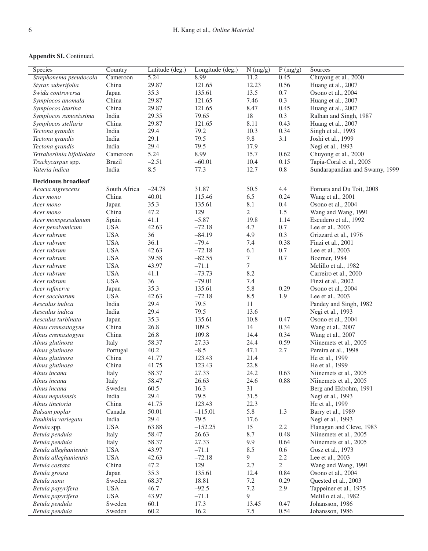| Species                    | Country         | Latitude (deg.) | Longitude (deg.) | N (mg/g)       | P(mg/g) | Sources                        |
|----------------------------|-----------------|-----------------|------------------|----------------|---------|--------------------------------|
| Strephonema pseudocola     | Cameroon        | 5.24            | 8.99             | 11.2           | 0.45    | Chuyong et al., 2000           |
| Styrax suberifolia         | China           | 29.87           | 121.65           | 12.23          | 0.56    | Huang et al., 2007             |
| Swida controversa          | Japan           | 35.3            | 135.61           | 13.5           | 0.7     | Osono et al., 2004             |
| Symplocos anomala          | China           | 29.87           | 121.65           | 7.46           | 0.3     | Huang et al., 2007             |
| Symplocos laurina          | China           | 29.87           | 121.65           | 8.47           | 0.45    | Huang et al., 2007             |
| Symplocos ramosissima      | India           | 29.35           | 79.65            | 18             | 0.3     | Ralhan and Singh, 1987         |
| Symplocos stellaris        | China           | 29.87           | 121.65           | 8.11           | 0.43    | Huang et al., 2007             |
| Tectona grandis            | India           | 29.4            | 79.2             | 10.3           | 0.34    | Singh et al., 1993             |
| Tectona grandis            | India           | 29.1            | 79.5             | 9.8            | 3.1     | Joshi et al., 1999             |
| Tectona grandis            | India           | 29.4            | 79.5             | 17.9           |         | Negi et al., 1993              |
| Tetraberlinia bifoliolata  | Cameroon        | 5.24            | 8.99             | 15.7           | 0.62    | Chuyong et al., 2000           |
| Trachycarpus spp.          | <b>Brazil</b>   | $-2.51$         | $-60.01$         | 10.4           | 0.15    | Tapia-Coral et al., 2005       |
| Vateria indica             | India           | 8.5             | 77.3             | 12.7           | $0.8\,$ | Sundarapandian and Swamy, 1999 |
|                            |                 |                 |                  |                |         |                                |
| <b>Deciduous broadleaf</b> |                 |                 |                  |                |         |                                |
| Acacia nigrescens          | South Africa    | $-24.78$        | 31.87            | 50.5           | 4.4     | Fornara and Du Toit, 2008      |
| Acer mono                  | China           | 40.01           | 115.46           | 6.5            | 0.24    | Wang et al., 2001              |
| Acer mono                  | Japan           | 35.3            | 135.61           | 8.1            | $0.4\,$ | Osono et al., 2004             |
| Acer mono                  | China           | 47.2            | 129              | $\overline{c}$ | 1.5     | Wang and Wang, 1991            |
| Acer monspessulanum        | Spain           | 41.1            | $-5.87$          | 19.8           | 1.14    | Escudero et al., 1992          |
| Acer penslvanicum          | <b>USA</b>      | 42.63           | $-72.18$         | 4.7            | 0.7     | Lee et al., 2003               |
| Acer rubrum                | <b>USA</b>      | 36              | $-84.19$         | 4.9            | 0.3     | Grizzard et al., 1976          |
| Acer rubrum                | <b>USA</b>      | 36.1            | $-79.4$          | 7.4            | 0.38    | Finzi et al., 2001             |
| Acer rubrum                | <b>USA</b>      | 42.63           | $-72.18$         | 6.1            | 0.7     | Lee et al., 2003               |
| Acer rubrum                | <b>USA</b>      | 39.58           | $-82.55$         | 7              | 0.7     | Boerner, 1984                  |
| Acer rubrum                | <b>USA</b>      | 43.97           | $-71.1$          | 7              |         | Melillo et al., 1982           |
| Acer rubrum                | <b>USA</b>      | 41.1            | $-73.73$         | 8.2            |         | Carreiro et al., 2000          |
| Acer rubrum                | <b>USA</b>      | 36              | $-79.01$         | 7.4            |         | Finzi et al., 2002             |
| Acer rufinerve             | Japan           | 35.3            | 135.61           | 5.8            | 0.29    | Osono et al., 2004             |
| Acer saccharum             | <b>USA</b>      | 42.63           | $-72.18$         | 8.5            | 1.9     | Lee et al., 2003               |
| Aesculus indica            | India           | 29.4            | 79.5             | 11             |         | Pandey and Singh, 1982         |
| Aesculus indica            | India           | 29.4            | 79.5             | 13.6           |         | Negi et al., 1993              |
| Aesculus turbinata         | Japan           | 35.3            | 135.61           | 10.8           | 0.47    | Osono et al., 2004             |
| Alnus cremastogyne         | China           | 26.8            | 109.5            | 14             | 0.34    | Wang et al., 2007              |
| Alnus cremastogyne         | China           | 26.8            | 109.8            | 14.4           | 0.34    | Wang et al., 2007              |
| Alnus glutinosa            | Italy           | 58.37           | 27.33            | 24.4           | 0.59    | Niinemets et al., 2005         |
| Alnus glutinosa            | Portugal        | 40.2            | $-8.5$           | 47.1           | 2.7     | Pereira et al., 1998           |
| Alnus glutinosa            | China           | 41.77           | 123.43           | 21.4           |         | He et al., 1999                |
| Alnus glutinosa            | China           | 41.75           | 123.43           | 22.8           |         | He et al., 1999                |
| Alnus incana               | Italy           | 58.37           | 27.33            | 24.2           | 0.63    | Niinemets et al., 2005         |
| Alnus incana               |                 | 58.47           | 26.63            | 24.6           | 0.88    | Niinemets et al., 2005         |
|                            | Italy<br>Sweden | 60.5            | 16.3             | $31\,$         |         | Berg and Ekbohm, 1991          |
| Alnus incana               |                 |                 |                  |                |         |                                |
| Alnus nepalensis           | India           | 29.4            | 79.5<br>123.43   | 31.5           |         | Negi et al., 1993              |
| Alnus tinctoria            | China           | 41.75           |                  | 22.3           |         | He et al., 1999                |
| Balsam poplar              | Canada          | 50.01           | $-115.01$        | 5.8            | 1.3     | Barry et al., 1989             |
| Bauhinia variegata         | India           | 29.4            | 79.5             | 17.6           |         | Negi et al., 1993              |
| Betula spp.                | <b>USA</b>      | 63.88           | $-152.25$        | 15             | 2.2     | Flanagan and Cleve, 1983       |
| Betula pendula             | Italy           | 58.47           | 26.63            | 8.7            | 0.48    | Niinemets et al., 2005         |
| Betula pendula             | Italy           | 58.37           | 27.33            | 9.9            | 0.64    | Niinemets et al., 2005         |
| Betula alleghaniensis      | <b>USA</b>      | 43.97           | $-71.1$          | 8.5            | 0.6     | Gosz et al., 1973              |
| Betula alleghaniensis      | <b>USA</b>      | 42.63           | $-72.18$         | 9              | 2.2     | Lee et al., 2003               |
| Betula costata             | China           | 47.2            | 129              | 2.7            | 2       | Wang and Wang, 1991            |
| Betula grossa              | Japan           | 35.3            | 135.61           | 12.4           | 0.84    | Osono et al., 2004             |
| Betula nana                | Sweden          | 68.37           | 18.81            | $7.2\,$        | 0.29    | Quested et al., 2003           |
| Betula papyrifera          | <b>USA</b>      | 46.7            | $-92.5$          | 7.2            | 2.9     | Tappeiner et al., 1975         |
| Betula papyrifera          | <b>USA</b>      | 43.97           | $-71.1$          | 9              |         | Melillo et al., 1982           |
| Betula pendula             | Sweden          | 60.1            | 17.3             | 13.45          | 0.47    | Johansson, 1986                |
| Betula pendula             | Sweden          | 60.2            | 16.2             | 7.5            | 0.54    | Johansson, 1986                |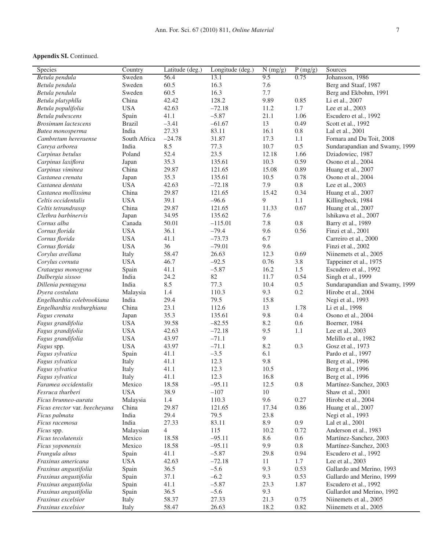| Johansson, 1986<br>Betula pendula<br>Sweden<br>56.4<br>13.1<br>9.5<br>0.75<br>60.5<br>16.3<br>7.6<br>Sweden<br>Berg and Staaf, 1987<br>Betula pendula<br>16.3<br>60.5<br>7.7<br>Sweden<br>Berg and Ekbohm, 1991<br>Betula pendula<br>128.2<br>9.89<br>0.85<br>China<br>42.42<br>Betula platyphlla<br>Li et al., 2007<br><b>USA</b><br>$-72.18$<br>1.7<br>Betula populifolia<br>42.63<br>11.2<br>Lee et al., 2003<br>41.1<br>$-5.87$<br>21.1<br>1.06<br>Betula pubescens<br>Spain<br>Escudero et al., 1992<br>$-3.41$<br>13<br><b>Brosimum</b> lactescens<br><b>Brazil</b><br>$-61.67$<br>0.49<br>Scott et al., 1992<br>27.33<br>83.11<br>16.1<br>$0.8\,$<br>India<br>Lal et al., 2001<br>Butea monosperma<br>South Africa<br>$-24.78$<br>31.87<br>17.3<br>1.1<br>Fornara and Du Toit, 2008<br>Cambretum hereraense<br>8.5<br>0.5<br>India<br>77.3<br>10.7<br>Sundarapandian and Swamy, 1999<br>Careva arborea<br>23.5<br>52.4<br>12.18<br>1.66<br>Poland<br>Dziadowiec, 1987<br>Carpinus betulus<br>35.3<br>135.61<br>10.3<br>0.59<br>Osono et al., 2004<br>Carpinus laxiflora<br>Japan<br>0.89<br>China<br>29.87<br>121.65<br>15.08<br>Carpinus viminea<br>Huang et al., 2007<br>35.3<br>0.78<br>135.61<br>10.5<br>Castanea crenata<br>Japan<br>Osono et al., 2004<br><b>USA</b><br>7.9<br>$0.8\,$<br>42.63<br>$-72.18$<br>Castanea dentata<br>Lee et al., 2003<br>29.87<br>0.34<br>Castanea mollissima<br>China<br>121.65<br>15.42<br>Huang et al., 2007<br><b>USA</b><br>39.1<br>9<br>$-96.6$<br>1.1<br>Celtis occidentalis<br>Killingbeck, 1984<br>China<br>29.87<br>121.65<br>0.67<br>Celtis tetrandrassp<br>11.33<br>Huang et al., 2007<br>Clethra barbinervis<br>34.95<br>135.62<br>Japan<br>7.6<br>Ishikawa et al., 2007<br>50.01<br>7.8<br>$0.8\,$<br>Cornus alba<br>Canada<br>$-115.01$<br>Barry et al., 1989<br><b>USA</b><br>36.1<br>$-79.4$<br>0.56<br>Cornus florida<br>9.6<br>Finzi et al., 2001<br><b>USA</b><br>41.1<br>$-73.73$<br>6.7<br>Cornus florida<br>Carreiro et al., 2000<br><b>USA</b><br>36<br>$-79.01$<br>9.6<br>Cornus florida<br>Finzi et al., 2002<br>58.47<br>26.63<br>12.3<br>0.69<br>Corylus avellana<br>Italy<br>Niinemets et al., 2005<br><b>USA</b><br>$-92.5$<br>0.76<br>3.8<br>46.7<br>Tappeiner et al., 1975<br>Corylus cornuta<br>$-5.87$<br>1.5<br>41.1<br>16.2<br>Escudero et al., 1992<br>Crataegus monogyna<br>Spain<br>$82\,$<br>0.54<br>24.2<br>11.7<br>Dalbergia sissoo<br>India<br>Singh et al., 1999<br>77.3<br>0.5<br>India<br>8.5<br>10.4<br>Sundarapandian and Swamy, 1999<br>Dillenia pentagyna<br>1.4<br>110.3<br>9.3<br>0.2<br>Malaysia<br>Dyera costulata<br>Hirobe et al., 2004<br>India<br>29.4<br>79.5<br>15.8<br>Engelhardtia colebrookiana<br>Negi et al., 1993<br>China<br>23.1<br>112.6<br>13<br>1.78<br>Engelhardtia roxburghiana<br>Li et al., 1998<br>9.8<br>35.3<br>135.61<br>0.4<br>Fagus crenata<br>Osono et al., 2004<br>Japan<br><b>USA</b><br>8.2<br>39.58<br>$-82.55$<br>0.6<br>Fagus grandifolia<br>Boerner, 1984<br><b>USA</b><br>$-72.18$<br>9.5<br>42.63<br>1.1<br>Fagus grandifolia<br>Lee et al., 2003<br><b>USA</b><br>$-71.1$<br>9<br>43.97<br>Fagus grandifolia<br>Melillo et al., 1982<br><b>USA</b><br>$-71.1$<br>43.97<br>8.2<br>0.3<br>Fagus spp.<br>Gosz et al., 1973<br>$-3.5$<br>6.1<br>Fagus sylvatica<br>Spain<br>41.1<br>Pardo et al., 1997<br>9.8<br>12.3<br>41.1<br>Fagus sylvatica<br>Italy<br>Berg et al., 1996<br>12.3<br>41.1<br>10.5<br>Fagus sylvatica<br>Italy<br>Berg et al., 1996<br>12.3<br>16.8<br>41.1<br>Fagus sylvatica<br>Italy<br>Berg et al., 1996<br>$-95.11$<br>12.5<br>0.8<br>18.58<br>Martínez-Sanchez, 2003<br>Faramea occidentalis<br>Mexico<br><b>USA</b><br>Fesruca thurberi<br>38.9<br>$-107$<br>10<br>Shaw et al., 2001<br>1.4<br>110.3<br>9.6<br>0.27<br>Malaysia<br>Hirobe et al., 2004<br>Ficus brunneo-aurata<br>China<br>29.87<br>121.65<br>17.34<br>0.86<br>Ficus erector var. beecheyana<br>Huang et al., 2007<br>India<br>29.4<br>79.5<br>23.8<br>Negi et al., 1993<br>Ficus palmata<br>$0.9\,$<br>India<br>83.11<br>8.9<br>Ficus racemosa<br>27.33<br>Lal et al., 2001<br>115<br>10.2<br>0.72<br>4<br>Anderson et al., 1983<br>Ficus spp.<br>Malaysian<br>18.58<br>$-95.11$<br>8.6<br>0.6<br>Ficus tecolutensis<br>Mexico<br>Martínez-Sanchez, 2003<br>9.9<br>$-95.11$<br>$0.8\,$<br>Ficus yoponensis<br>Mexico<br>18.58<br>Martínez-Sanchez, 2003<br>41.1<br>$-5.87$<br>29.8<br>0.94<br>Frangula alnus<br>Spain<br>Escudero et al., 1992<br><b>USA</b><br>42.63<br>$-72.18$<br>1.7<br>Lee et al., 2003<br>Fraxinus americana<br>11<br>36.5<br>$-5.6$<br>9.3<br>0.53<br>Spain<br>Gallardo and Merino, 1993<br>Fraxinus angustifolia<br>$-6.2$<br>9.3<br>37.1<br>0.53<br>Fraxinus angustifolia<br>Spain<br>Gallardo and Merino, 1999<br>$-5.87$<br>Fraxinus angustifolia<br>41.1<br>23.3<br>1.87<br>Escudero et al., 1992<br>Spain<br>$-5.6$<br>9.3<br>Fraxinus angustifolia<br>Spain<br>36.5<br>Gallardot and Merino, 1992<br>21.3<br>Fraxinus excelsior<br>58.37<br>27.33<br>0.75<br>Niinemets et al., 2005<br>Italy | Species            | Country | Latitude (deg.) | Longitude (deg.) | $\overline{N}$ (mg/g) | P(mg/g) | Sources                |
|-----------------------------------------------------------------------------------------------------------------------------------------------------------------------------------------------------------------------------------------------------------------------------------------------------------------------------------------------------------------------------------------------------------------------------------------------------------------------------------------------------------------------------------------------------------------------------------------------------------------------------------------------------------------------------------------------------------------------------------------------------------------------------------------------------------------------------------------------------------------------------------------------------------------------------------------------------------------------------------------------------------------------------------------------------------------------------------------------------------------------------------------------------------------------------------------------------------------------------------------------------------------------------------------------------------------------------------------------------------------------------------------------------------------------------------------------------------------------------------------------------------------------------------------------------------------------------------------------------------------------------------------------------------------------------------------------------------------------------------------------------------------------------------------------------------------------------------------------------------------------------------------------------------------------------------------------------------------------------------------------------------------------------------------------------------------------------------------------------------------------------------------------------------------------------------------------------------------------------------------------------------------------------------------------------------------------------------------------------------------------------------------------------------------------------------------------------------------------------------------------------------------------------------------------------------------------------------------------------------------------------------------------------------------------------------------------------------------------------------------------------------------------------------------------------------------------------------------------------------------------------------------------------------------------------------------------------------------------------------------------------------------------------------------------------------------------------------------------------------------------------------------------------------------------------------------------------------------------------------------------------------------------------------------------------------------------------------------------------------------------------------------------------------------------------------------------------------------------------------------------------------------------------------------------------------------------------------------------------------------------------------------------------------------------------------------------------------------------------------------------------------------------------------------------------------------------------------------------------------------------------------------------------------------------------------------------------------------------------------------------------------------------------------------------------------------------------------------------------------------------------------------------------------------------------------------------------------------------------------------------------------------------------------------------------------------------------------------------------------------------------------------------------------------------------------------------------------------------------------------------------------------------------------------------------------------------------------------------------------------------------------------------------------------------------------------------------------------------------------------------------------------------------------------------------------------------------------------------------------------------------------------------------------------------------------------------------------------------------------------------------------------------------------------------------------|--------------------|---------|-----------------|------------------|-----------------------|---------|------------------------|
|                                                                                                                                                                                                                                                                                                                                                                                                                                                                                                                                                                                                                                                                                                                                                                                                                                                                                                                                                                                                                                                                                                                                                                                                                                                                                                                                                                                                                                                                                                                                                                                                                                                                                                                                                                                                                                                                                                                                                                                                                                                                                                                                                                                                                                                                                                                                                                                                                                                                                                                                                                                                                                                                                                                                                                                                                                                                                                                                                                                                                                                                                                                                                                                                                                                                                                                                                                                                                                                                                                                                                                                                                                                                                                                                                                                                                                                                                                                                                                                                                                                                                                                                                                                                                                                                                                                                                                                                                                                                                                                                                                                                                                                                                                                                                                                                                                                                                                                                                                                                                                                           |                    |         |                 |                  |                       |         |                        |
|                                                                                                                                                                                                                                                                                                                                                                                                                                                                                                                                                                                                                                                                                                                                                                                                                                                                                                                                                                                                                                                                                                                                                                                                                                                                                                                                                                                                                                                                                                                                                                                                                                                                                                                                                                                                                                                                                                                                                                                                                                                                                                                                                                                                                                                                                                                                                                                                                                                                                                                                                                                                                                                                                                                                                                                                                                                                                                                                                                                                                                                                                                                                                                                                                                                                                                                                                                                                                                                                                                                                                                                                                                                                                                                                                                                                                                                                                                                                                                                                                                                                                                                                                                                                                                                                                                                                                                                                                                                                                                                                                                                                                                                                                                                                                                                                                                                                                                                                                                                                                                                           |                    |         |                 |                  |                       |         |                        |
|                                                                                                                                                                                                                                                                                                                                                                                                                                                                                                                                                                                                                                                                                                                                                                                                                                                                                                                                                                                                                                                                                                                                                                                                                                                                                                                                                                                                                                                                                                                                                                                                                                                                                                                                                                                                                                                                                                                                                                                                                                                                                                                                                                                                                                                                                                                                                                                                                                                                                                                                                                                                                                                                                                                                                                                                                                                                                                                                                                                                                                                                                                                                                                                                                                                                                                                                                                                                                                                                                                                                                                                                                                                                                                                                                                                                                                                                                                                                                                                                                                                                                                                                                                                                                                                                                                                                                                                                                                                                                                                                                                                                                                                                                                                                                                                                                                                                                                                                                                                                                                                           |                    |         |                 |                  |                       |         |                        |
|                                                                                                                                                                                                                                                                                                                                                                                                                                                                                                                                                                                                                                                                                                                                                                                                                                                                                                                                                                                                                                                                                                                                                                                                                                                                                                                                                                                                                                                                                                                                                                                                                                                                                                                                                                                                                                                                                                                                                                                                                                                                                                                                                                                                                                                                                                                                                                                                                                                                                                                                                                                                                                                                                                                                                                                                                                                                                                                                                                                                                                                                                                                                                                                                                                                                                                                                                                                                                                                                                                                                                                                                                                                                                                                                                                                                                                                                                                                                                                                                                                                                                                                                                                                                                                                                                                                                                                                                                                                                                                                                                                                                                                                                                                                                                                                                                                                                                                                                                                                                                                                           |                    |         |                 |                  |                       |         |                        |
|                                                                                                                                                                                                                                                                                                                                                                                                                                                                                                                                                                                                                                                                                                                                                                                                                                                                                                                                                                                                                                                                                                                                                                                                                                                                                                                                                                                                                                                                                                                                                                                                                                                                                                                                                                                                                                                                                                                                                                                                                                                                                                                                                                                                                                                                                                                                                                                                                                                                                                                                                                                                                                                                                                                                                                                                                                                                                                                                                                                                                                                                                                                                                                                                                                                                                                                                                                                                                                                                                                                                                                                                                                                                                                                                                                                                                                                                                                                                                                                                                                                                                                                                                                                                                                                                                                                                                                                                                                                                                                                                                                                                                                                                                                                                                                                                                                                                                                                                                                                                                                                           |                    |         |                 |                  |                       |         |                        |
|                                                                                                                                                                                                                                                                                                                                                                                                                                                                                                                                                                                                                                                                                                                                                                                                                                                                                                                                                                                                                                                                                                                                                                                                                                                                                                                                                                                                                                                                                                                                                                                                                                                                                                                                                                                                                                                                                                                                                                                                                                                                                                                                                                                                                                                                                                                                                                                                                                                                                                                                                                                                                                                                                                                                                                                                                                                                                                                                                                                                                                                                                                                                                                                                                                                                                                                                                                                                                                                                                                                                                                                                                                                                                                                                                                                                                                                                                                                                                                                                                                                                                                                                                                                                                                                                                                                                                                                                                                                                                                                                                                                                                                                                                                                                                                                                                                                                                                                                                                                                                                                           |                    |         |                 |                  |                       |         |                        |
|                                                                                                                                                                                                                                                                                                                                                                                                                                                                                                                                                                                                                                                                                                                                                                                                                                                                                                                                                                                                                                                                                                                                                                                                                                                                                                                                                                                                                                                                                                                                                                                                                                                                                                                                                                                                                                                                                                                                                                                                                                                                                                                                                                                                                                                                                                                                                                                                                                                                                                                                                                                                                                                                                                                                                                                                                                                                                                                                                                                                                                                                                                                                                                                                                                                                                                                                                                                                                                                                                                                                                                                                                                                                                                                                                                                                                                                                                                                                                                                                                                                                                                                                                                                                                                                                                                                                                                                                                                                                                                                                                                                                                                                                                                                                                                                                                                                                                                                                                                                                                                                           |                    |         |                 |                  |                       |         |                        |
|                                                                                                                                                                                                                                                                                                                                                                                                                                                                                                                                                                                                                                                                                                                                                                                                                                                                                                                                                                                                                                                                                                                                                                                                                                                                                                                                                                                                                                                                                                                                                                                                                                                                                                                                                                                                                                                                                                                                                                                                                                                                                                                                                                                                                                                                                                                                                                                                                                                                                                                                                                                                                                                                                                                                                                                                                                                                                                                                                                                                                                                                                                                                                                                                                                                                                                                                                                                                                                                                                                                                                                                                                                                                                                                                                                                                                                                                                                                                                                                                                                                                                                                                                                                                                                                                                                                                                                                                                                                                                                                                                                                                                                                                                                                                                                                                                                                                                                                                                                                                                                                           |                    |         |                 |                  |                       |         |                        |
|                                                                                                                                                                                                                                                                                                                                                                                                                                                                                                                                                                                                                                                                                                                                                                                                                                                                                                                                                                                                                                                                                                                                                                                                                                                                                                                                                                                                                                                                                                                                                                                                                                                                                                                                                                                                                                                                                                                                                                                                                                                                                                                                                                                                                                                                                                                                                                                                                                                                                                                                                                                                                                                                                                                                                                                                                                                                                                                                                                                                                                                                                                                                                                                                                                                                                                                                                                                                                                                                                                                                                                                                                                                                                                                                                                                                                                                                                                                                                                                                                                                                                                                                                                                                                                                                                                                                                                                                                                                                                                                                                                                                                                                                                                                                                                                                                                                                                                                                                                                                                                                           |                    |         |                 |                  |                       |         |                        |
|                                                                                                                                                                                                                                                                                                                                                                                                                                                                                                                                                                                                                                                                                                                                                                                                                                                                                                                                                                                                                                                                                                                                                                                                                                                                                                                                                                                                                                                                                                                                                                                                                                                                                                                                                                                                                                                                                                                                                                                                                                                                                                                                                                                                                                                                                                                                                                                                                                                                                                                                                                                                                                                                                                                                                                                                                                                                                                                                                                                                                                                                                                                                                                                                                                                                                                                                                                                                                                                                                                                                                                                                                                                                                                                                                                                                                                                                                                                                                                                                                                                                                                                                                                                                                                                                                                                                                                                                                                                                                                                                                                                                                                                                                                                                                                                                                                                                                                                                                                                                                                                           |                    |         |                 |                  |                       |         |                        |
|                                                                                                                                                                                                                                                                                                                                                                                                                                                                                                                                                                                                                                                                                                                                                                                                                                                                                                                                                                                                                                                                                                                                                                                                                                                                                                                                                                                                                                                                                                                                                                                                                                                                                                                                                                                                                                                                                                                                                                                                                                                                                                                                                                                                                                                                                                                                                                                                                                                                                                                                                                                                                                                                                                                                                                                                                                                                                                                                                                                                                                                                                                                                                                                                                                                                                                                                                                                                                                                                                                                                                                                                                                                                                                                                                                                                                                                                                                                                                                                                                                                                                                                                                                                                                                                                                                                                                                                                                                                                                                                                                                                                                                                                                                                                                                                                                                                                                                                                                                                                                                                           |                    |         |                 |                  |                       |         |                        |
|                                                                                                                                                                                                                                                                                                                                                                                                                                                                                                                                                                                                                                                                                                                                                                                                                                                                                                                                                                                                                                                                                                                                                                                                                                                                                                                                                                                                                                                                                                                                                                                                                                                                                                                                                                                                                                                                                                                                                                                                                                                                                                                                                                                                                                                                                                                                                                                                                                                                                                                                                                                                                                                                                                                                                                                                                                                                                                                                                                                                                                                                                                                                                                                                                                                                                                                                                                                                                                                                                                                                                                                                                                                                                                                                                                                                                                                                                                                                                                                                                                                                                                                                                                                                                                                                                                                                                                                                                                                                                                                                                                                                                                                                                                                                                                                                                                                                                                                                                                                                                                                           |                    |         |                 |                  |                       |         |                        |
|                                                                                                                                                                                                                                                                                                                                                                                                                                                                                                                                                                                                                                                                                                                                                                                                                                                                                                                                                                                                                                                                                                                                                                                                                                                                                                                                                                                                                                                                                                                                                                                                                                                                                                                                                                                                                                                                                                                                                                                                                                                                                                                                                                                                                                                                                                                                                                                                                                                                                                                                                                                                                                                                                                                                                                                                                                                                                                                                                                                                                                                                                                                                                                                                                                                                                                                                                                                                                                                                                                                                                                                                                                                                                                                                                                                                                                                                                                                                                                                                                                                                                                                                                                                                                                                                                                                                                                                                                                                                                                                                                                                                                                                                                                                                                                                                                                                                                                                                                                                                                                                           |                    |         |                 |                  |                       |         |                        |
|                                                                                                                                                                                                                                                                                                                                                                                                                                                                                                                                                                                                                                                                                                                                                                                                                                                                                                                                                                                                                                                                                                                                                                                                                                                                                                                                                                                                                                                                                                                                                                                                                                                                                                                                                                                                                                                                                                                                                                                                                                                                                                                                                                                                                                                                                                                                                                                                                                                                                                                                                                                                                                                                                                                                                                                                                                                                                                                                                                                                                                                                                                                                                                                                                                                                                                                                                                                                                                                                                                                                                                                                                                                                                                                                                                                                                                                                                                                                                                                                                                                                                                                                                                                                                                                                                                                                                                                                                                                                                                                                                                                                                                                                                                                                                                                                                                                                                                                                                                                                                                                           |                    |         |                 |                  |                       |         |                        |
|                                                                                                                                                                                                                                                                                                                                                                                                                                                                                                                                                                                                                                                                                                                                                                                                                                                                                                                                                                                                                                                                                                                                                                                                                                                                                                                                                                                                                                                                                                                                                                                                                                                                                                                                                                                                                                                                                                                                                                                                                                                                                                                                                                                                                                                                                                                                                                                                                                                                                                                                                                                                                                                                                                                                                                                                                                                                                                                                                                                                                                                                                                                                                                                                                                                                                                                                                                                                                                                                                                                                                                                                                                                                                                                                                                                                                                                                                                                                                                                                                                                                                                                                                                                                                                                                                                                                                                                                                                                                                                                                                                                                                                                                                                                                                                                                                                                                                                                                                                                                                                                           |                    |         |                 |                  |                       |         |                        |
|                                                                                                                                                                                                                                                                                                                                                                                                                                                                                                                                                                                                                                                                                                                                                                                                                                                                                                                                                                                                                                                                                                                                                                                                                                                                                                                                                                                                                                                                                                                                                                                                                                                                                                                                                                                                                                                                                                                                                                                                                                                                                                                                                                                                                                                                                                                                                                                                                                                                                                                                                                                                                                                                                                                                                                                                                                                                                                                                                                                                                                                                                                                                                                                                                                                                                                                                                                                                                                                                                                                                                                                                                                                                                                                                                                                                                                                                                                                                                                                                                                                                                                                                                                                                                                                                                                                                                                                                                                                                                                                                                                                                                                                                                                                                                                                                                                                                                                                                                                                                                                                           |                    |         |                 |                  |                       |         |                        |
|                                                                                                                                                                                                                                                                                                                                                                                                                                                                                                                                                                                                                                                                                                                                                                                                                                                                                                                                                                                                                                                                                                                                                                                                                                                                                                                                                                                                                                                                                                                                                                                                                                                                                                                                                                                                                                                                                                                                                                                                                                                                                                                                                                                                                                                                                                                                                                                                                                                                                                                                                                                                                                                                                                                                                                                                                                                                                                                                                                                                                                                                                                                                                                                                                                                                                                                                                                                                                                                                                                                                                                                                                                                                                                                                                                                                                                                                                                                                                                                                                                                                                                                                                                                                                                                                                                                                                                                                                                                                                                                                                                                                                                                                                                                                                                                                                                                                                                                                                                                                                                                           |                    |         |                 |                  |                       |         |                        |
|                                                                                                                                                                                                                                                                                                                                                                                                                                                                                                                                                                                                                                                                                                                                                                                                                                                                                                                                                                                                                                                                                                                                                                                                                                                                                                                                                                                                                                                                                                                                                                                                                                                                                                                                                                                                                                                                                                                                                                                                                                                                                                                                                                                                                                                                                                                                                                                                                                                                                                                                                                                                                                                                                                                                                                                                                                                                                                                                                                                                                                                                                                                                                                                                                                                                                                                                                                                                                                                                                                                                                                                                                                                                                                                                                                                                                                                                                                                                                                                                                                                                                                                                                                                                                                                                                                                                                                                                                                                                                                                                                                                                                                                                                                                                                                                                                                                                                                                                                                                                                                                           |                    |         |                 |                  |                       |         |                        |
|                                                                                                                                                                                                                                                                                                                                                                                                                                                                                                                                                                                                                                                                                                                                                                                                                                                                                                                                                                                                                                                                                                                                                                                                                                                                                                                                                                                                                                                                                                                                                                                                                                                                                                                                                                                                                                                                                                                                                                                                                                                                                                                                                                                                                                                                                                                                                                                                                                                                                                                                                                                                                                                                                                                                                                                                                                                                                                                                                                                                                                                                                                                                                                                                                                                                                                                                                                                                                                                                                                                                                                                                                                                                                                                                                                                                                                                                                                                                                                                                                                                                                                                                                                                                                                                                                                                                                                                                                                                                                                                                                                                                                                                                                                                                                                                                                                                                                                                                                                                                                                                           |                    |         |                 |                  |                       |         |                        |
|                                                                                                                                                                                                                                                                                                                                                                                                                                                                                                                                                                                                                                                                                                                                                                                                                                                                                                                                                                                                                                                                                                                                                                                                                                                                                                                                                                                                                                                                                                                                                                                                                                                                                                                                                                                                                                                                                                                                                                                                                                                                                                                                                                                                                                                                                                                                                                                                                                                                                                                                                                                                                                                                                                                                                                                                                                                                                                                                                                                                                                                                                                                                                                                                                                                                                                                                                                                                                                                                                                                                                                                                                                                                                                                                                                                                                                                                                                                                                                                                                                                                                                                                                                                                                                                                                                                                                                                                                                                                                                                                                                                                                                                                                                                                                                                                                                                                                                                                                                                                                                                           |                    |         |                 |                  |                       |         |                        |
|                                                                                                                                                                                                                                                                                                                                                                                                                                                                                                                                                                                                                                                                                                                                                                                                                                                                                                                                                                                                                                                                                                                                                                                                                                                                                                                                                                                                                                                                                                                                                                                                                                                                                                                                                                                                                                                                                                                                                                                                                                                                                                                                                                                                                                                                                                                                                                                                                                                                                                                                                                                                                                                                                                                                                                                                                                                                                                                                                                                                                                                                                                                                                                                                                                                                                                                                                                                                                                                                                                                                                                                                                                                                                                                                                                                                                                                                                                                                                                                                                                                                                                                                                                                                                                                                                                                                                                                                                                                                                                                                                                                                                                                                                                                                                                                                                                                                                                                                                                                                                                                           |                    |         |                 |                  |                       |         |                        |
|                                                                                                                                                                                                                                                                                                                                                                                                                                                                                                                                                                                                                                                                                                                                                                                                                                                                                                                                                                                                                                                                                                                                                                                                                                                                                                                                                                                                                                                                                                                                                                                                                                                                                                                                                                                                                                                                                                                                                                                                                                                                                                                                                                                                                                                                                                                                                                                                                                                                                                                                                                                                                                                                                                                                                                                                                                                                                                                                                                                                                                                                                                                                                                                                                                                                                                                                                                                                                                                                                                                                                                                                                                                                                                                                                                                                                                                                                                                                                                                                                                                                                                                                                                                                                                                                                                                                                                                                                                                                                                                                                                                                                                                                                                                                                                                                                                                                                                                                                                                                                                                           |                    |         |                 |                  |                       |         |                        |
|                                                                                                                                                                                                                                                                                                                                                                                                                                                                                                                                                                                                                                                                                                                                                                                                                                                                                                                                                                                                                                                                                                                                                                                                                                                                                                                                                                                                                                                                                                                                                                                                                                                                                                                                                                                                                                                                                                                                                                                                                                                                                                                                                                                                                                                                                                                                                                                                                                                                                                                                                                                                                                                                                                                                                                                                                                                                                                                                                                                                                                                                                                                                                                                                                                                                                                                                                                                                                                                                                                                                                                                                                                                                                                                                                                                                                                                                                                                                                                                                                                                                                                                                                                                                                                                                                                                                                                                                                                                                                                                                                                                                                                                                                                                                                                                                                                                                                                                                                                                                                                                           |                    |         |                 |                  |                       |         |                        |
|                                                                                                                                                                                                                                                                                                                                                                                                                                                                                                                                                                                                                                                                                                                                                                                                                                                                                                                                                                                                                                                                                                                                                                                                                                                                                                                                                                                                                                                                                                                                                                                                                                                                                                                                                                                                                                                                                                                                                                                                                                                                                                                                                                                                                                                                                                                                                                                                                                                                                                                                                                                                                                                                                                                                                                                                                                                                                                                                                                                                                                                                                                                                                                                                                                                                                                                                                                                                                                                                                                                                                                                                                                                                                                                                                                                                                                                                                                                                                                                                                                                                                                                                                                                                                                                                                                                                                                                                                                                                                                                                                                                                                                                                                                                                                                                                                                                                                                                                                                                                                                                           |                    |         |                 |                  |                       |         |                        |
|                                                                                                                                                                                                                                                                                                                                                                                                                                                                                                                                                                                                                                                                                                                                                                                                                                                                                                                                                                                                                                                                                                                                                                                                                                                                                                                                                                                                                                                                                                                                                                                                                                                                                                                                                                                                                                                                                                                                                                                                                                                                                                                                                                                                                                                                                                                                                                                                                                                                                                                                                                                                                                                                                                                                                                                                                                                                                                                                                                                                                                                                                                                                                                                                                                                                                                                                                                                                                                                                                                                                                                                                                                                                                                                                                                                                                                                                                                                                                                                                                                                                                                                                                                                                                                                                                                                                                                                                                                                                                                                                                                                                                                                                                                                                                                                                                                                                                                                                                                                                                                                           |                    |         |                 |                  |                       |         |                        |
|                                                                                                                                                                                                                                                                                                                                                                                                                                                                                                                                                                                                                                                                                                                                                                                                                                                                                                                                                                                                                                                                                                                                                                                                                                                                                                                                                                                                                                                                                                                                                                                                                                                                                                                                                                                                                                                                                                                                                                                                                                                                                                                                                                                                                                                                                                                                                                                                                                                                                                                                                                                                                                                                                                                                                                                                                                                                                                                                                                                                                                                                                                                                                                                                                                                                                                                                                                                                                                                                                                                                                                                                                                                                                                                                                                                                                                                                                                                                                                                                                                                                                                                                                                                                                                                                                                                                                                                                                                                                                                                                                                                                                                                                                                                                                                                                                                                                                                                                                                                                                                                           |                    |         |                 |                  |                       |         |                        |
|                                                                                                                                                                                                                                                                                                                                                                                                                                                                                                                                                                                                                                                                                                                                                                                                                                                                                                                                                                                                                                                                                                                                                                                                                                                                                                                                                                                                                                                                                                                                                                                                                                                                                                                                                                                                                                                                                                                                                                                                                                                                                                                                                                                                                                                                                                                                                                                                                                                                                                                                                                                                                                                                                                                                                                                                                                                                                                                                                                                                                                                                                                                                                                                                                                                                                                                                                                                                                                                                                                                                                                                                                                                                                                                                                                                                                                                                                                                                                                                                                                                                                                                                                                                                                                                                                                                                                                                                                                                                                                                                                                                                                                                                                                                                                                                                                                                                                                                                                                                                                                                           |                    |         |                 |                  |                       |         |                        |
|                                                                                                                                                                                                                                                                                                                                                                                                                                                                                                                                                                                                                                                                                                                                                                                                                                                                                                                                                                                                                                                                                                                                                                                                                                                                                                                                                                                                                                                                                                                                                                                                                                                                                                                                                                                                                                                                                                                                                                                                                                                                                                                                                                                                                                                                                                                                                                                                                                                                                                                                                                                                                                                                                                                                                                                                                                                                                                                                                                                                                                                                                                                                                                                                                                                                                                                                                                                                                                                                                                                                                                                                                                                                                                                                                                                                                                                                                                                                                                                                                                                                                                                                                                                                                                                                                                                                                                                                                                                                                                                                                                                                                                                                                                                                                                                                                                                                                                                                                                                                                                                           |                    |         |                 |                  |                       |         |                        |
|                                                                                                                                                                                                                                                                                                                                                                                                                                                                                                                                                                                                                                                                                                                                                                                                                                                                                                                                                                                                                                                                                                                                                                                                                                                                                                                                                                                                                                                                                                                                                                                                                                                                                                                                                                                                                                                                                                                                                                                                                                                                                                                                                                                                                                                                                                                                                                                                                                                                                                                                                                                                                                                                                                                                                                                                                                                                                                                                                                                                                                                                                                                                                                                                                                                                                                                                                                                                                                                                                                                                                                                                                                                                                                                                                                                                                                                                                                                                                                                                                                                                                                                                                                                                                                                                                                                                                                                                                                                                                                                                                                                                                                                                                                                                                                                                                                                                                                                                                                                                                                                           |                    |         |                 |                  |                       |         |                        |
|                                                                                                                                                                                                                                                                                                                                                                                                                                                                                                                                                                                                                                                                                                                                                                                                                                                                                                                                                                                                                                                                                                                                                                                                                                                                                                                                                                                                                                                                                                                                                                                                                                                                                                                                                                                                                                                                                                                                                                                                                                                                                                                                                                                                                                                                                                                                                                                                                                                                                                                                                                                                                                                                                                                                                                                                                                                                                                                                                                                                                                                                                                                                                                                                                                                                                                                                                                                                                                                                                                                                                                                                                                                                                                                                                                                                                                                                                                                                                                                                                                                                                                                                                                                                                                                                                                                                                                                                                                                                                                                                                                                                                                                                                                                                                                                                                                                                                                                                                                                                                                                           |                    |         |                 |                  |                       |         |                        |
|                                                                                                                                                                                                                                                                                                                                                                                                                                                                                                                                                                                                                                                                                                                                                                                                                                                                                                                                                                                                                                                                                                                                                                                                                                                                                                                                                                                                                                                                                                                                                                                                                                                                                                                                                                                                                                                                                                                                                                                                                                                                                                                                                                                                                                                                                                                                                                                                                                                                                                                                                                                                                                                                                                                                                                                                                                                                                                                                                                                                                                                                                                                                                                                                                                                                                                                                                                                                                                                                                                                                                                                                                                                                                                                                                                                                                                                                                                                                                                                                                                                                                                                                                                                                                                                                                                                                                                                                                                                                                                                                                                                                                                                                                                                                                                                                                                                                                                                                                                                                                                                           |                    |         |                 |                  |                       |         |                        |
|                                                                                                                                                                                                                                                                                                                                                                                                                                                                                                                                                                                                                                                                                                                                                                                                                                                                                                                                                                                                                                                                                                                                                                                                                                                                                                                                                                                                                                                                                                                                                                                                                                                                                                                                                                                                                                                                                                                                                                                                                                                                                                                                                                                                                                                                                                                                                                                                                                                                                                                                                                                                                                                                                                                                                                                                                                                                                                                                                                                                                                                                                                                                                                                                                                                                                                                                                                                                                                                                                                                                                                                                                                                                                                                                                                                                                                                                                                                                                                                                                                                                                                                                                                                                                                                                                                                                                                                                                                                                                                                                                                                                                                                                                                                                                                                                                                                                                                                                                                                                                                                           |                    |         |                 |                  |                       |         |                        |
|                                                                                                                                                                                                                                                                                                                                                                                                                                                                                                                                                                                                                                                                                                                                                                                                                                                                                                                                                                                                                                                                                                                                                                                                                                                                                                                                                                                                                                                                                                                                                                                                                                                                                                                                                                                                                                                                                                                                                                                                                                                                                                                                                                                                                                                                                                                                                                                                                                                                                                                                                                                                                                                                                                                                                                                                                                                                                                                                                                                                                                                                                                                                                                                                                                                                                                                                                                                                                                                                                                                                                                                                                                                                                                                                                                                                                                                                                                                                                                                                                                                                                                                                                                                                                                                                                                                                                                                                                                                                                                                                                                                                                                                                                                                                                                                                                                                                                                                                                                                                                                                           |                    |         |                 |                  |                       |         |                        |
|                                                                                                                                                                                                                                                                                                                                                                                                                                                                                                                                                                                                                                                                                                                                                                                                                                                                                                                                                                                                                                                                                                                                                                                                                                                                                                                                                                                                                                                                                                                                                                                                                                                                                                                                                                                                                                                                                                                                                                                                                                                                                                                                                                                                                                                                                                                                                                                                                                                                                                                                                                                                                                                                                                                                                                                                                                                                                                                                                                                                                                                                                                                                                                                                                                                                                                                                                                                                                                                                                                                                                                                                                                                                                                                                                                                                                                                                                                                                                                                                                                                                                                                                                                                                                                                                                                                                                                                                                                                                                                                                                                                                                                                                                                                                                                                                                                                                                                                                                                                                                                                           |                    |         |                 |                  |                       |         |                        |
|                                                                                                                                                                                                                                                                                                                                                                                                                                                                                                                                                                                                                                                                                                                                                                                                                                                                                                                                                                                                                                                                                                                                                                                                                                                                                                                                                                                                                                                                                                                                                                                                                                                                                                                                                                                                                                                                                                                                                                                                                                                                                                                                                                                                                                                                                                                                                                                                                                                                                                                                                                                                                                                                                                                                                                                                                                                                                                                                                                                                                                                                                                                                                                                                                                                                                                                                                                                                                                                                                                                                                                                                                                                                                                                                                                                                                                                                                                                                                                                                                                                                                                                                                                                                                                                                                                                                                                                                                                                                                                                                                                                                                                                                                                                                                                                                                                                                                                                                                                                                                                                           |                    |         |                 |                  |                       |         |                        |
|                                                                                                                                                                                                                                                                                                                                                                                                                                                                                                                                                                                                                                                                                                                                                                                                                                                                                                                                                                                                                                                                                                                                                                                                                                                                                                                                                                                                                                                                                                                                                                                                                                                                                                                                                                                                                                                                                                                                                                                                                                                                                                                                                                                                                                                                                                                                                                                                                                                                                                                                                                                                                                                                                                                                                                                                                                                                                                                                                                                                                                                                                                                                                                                                                                                                                                                                                                                                                                                                                                                                                                                                                                                                                                                                                                                                                                                                                                                                                                                                                                                                                                                                                                                                                                                                                                                                                                                                                                                                                                                                                                                                                                                                                                                                                                                                                                                                                                                                                                                                                                                           |                    |         |                 |                  |                       |         |                        |
|                                                                                                                                                                                                                                                                                                                                                                                                                                                                                                                                                                                                                                                                                                                                                                                                                                                                                                                                                                                                                                                                                                                                                                                                                                                                                                                                                                                                                                                                                                                                                                                                                                                                                                                                                                                                                                                                                                                                                                                                                                                                                                                                                                                                                                                                                                                                                                                                                                                                                                                                                                                                                                                                                                                                                                                                                                                                                                                                                                                                                                                                                                                                                                                                                                                                                                                                                                                                                                                                                                                                                                                                                                                                                                                                                                                                                                                                                                                                                                                                                                                                                                                                                                                                                                                                                                                                                                                                                                                                                                                                                                                                                                                                                                                                                                                                                                                                                                                                                                                                                                                           |                    |         |                 |                  |                       |         |                        |
|                                                                                                                                                                                                                                                                                                                                                                                                                                                                                                                                                                                                                                                                                                                                                                                                                                                                                                                                                                                                                                                                                                                                                                                                                                                                                                                                                                                                                                                                                                                                                                                                                                                                                                                                                                                                                                                                                                                                                                                                                                                                                                                                                                                                                                                                                                                                                                                                                                                                                                                                                                                                                                                                                                                                                                                                                                                                                                                                                                                                                                                                                                                                                                                                                                                                                                                                                                                                                                                                                                                                                                                                                                                                                                                                                                                                                                                                                                                                                                                                                                                                                                                                                                                                                                                                                                                                                                                                                                                                                                                                                                                                                                                                                                                                                                                                                                                                                                                                                                                                                                                           |                    |         |                 |                  |                       |         |                        |
|                                                                                                                                                                                                                                                                                                                                                                                                                                                                                                                                                                                                                                                                                                                                                                                                                                                                                                                                                                                                                                                                                                                                                                                                                                                                                                                                                                                                                                                                                                                                                                                                                                                                                                                                                                                                                                                                                                                                                                                                                                                                                                                                                                                                                                                                                                                                                                                                                                                                                                                                                                                                                                                                                                                                                                                                                                                                                                                                                                                                                                                                                                                                                                                                                                                                                                                                                                                                                                                                                                                                                                                                                                                                                                                                                                                                                                                                                                                                                                                                                                                                                                                                                                                                                                                                                                                                                                                                                                                                                                                                                                                                                                                                                                                                                                                                                                                                                                                                                                                                                                                           |                    |         |                 |                  |                       |         |                        |
|                                                                                                                                                                                                                                                                                                                                                                                                                                                                                                                                                                                                                                                                                                                                                                                                                                                                                                                                                                                                                                                                                                                                                                                                                                                                                                                                                                                                                                                                                                                                                                                                                                                                                                                                                                                                                                                                                                                                                                                                                                                                                                                                                                                                                                                                                                                                                                                                                                                                                                                                                                                                                                                                                                                                                                                                                                                                                                                                                                                                                                                                                                                                                                                                                                                                                                                                                                                                                                                                                                                                                                                                                                                                                                                                                                                                                                                                                                                                                                                                                                                                                                                                                                                                                                                                                                                                                                                                                                                                                                                                                                                                                                                                                                                                                                                                                                                                                                                                                                                                                                                           |                    |         |                 |                  |                       |         |                        |
|                                                                                                                                                                                                                                                                                                                                                                                                                                                                                                                                                                                                                                                                                                                                                                                                                                                                                                                                                                                                                                                                                                                                                                                                                                                                                                                                                                                                                                                                                                                                                                                                                                                                                                                                                                                                                                                                                                                                                                                                                                                                                                                                                                                                                                                                                                                                                                                                                                                                                                                                                                                                                                                                                                                                                                                                                                                                                                                                                                                                                                                                                                                                                                                                                                                                                                                                                                                                                                                                                                                                                                                                                                                                                                                                                                                                                                                                                                                                                                                                                                                                                                                                                                                                                                                                                                                                                                                                                                                                                                                                                                                                                                                                                                                                                                                                                                                                                                                                                                                                                                                           |                    |         |                 |                  |                       |         |                        |
|                                                                                                                                                                                                                                                                                                                                                                                                                                                                                                                                                                                                                                                                                                                                                                                                                                                                                                                                                                                                                                                                                                                                                                                                                                                                                                                                                                                                                                                                                                                                                                                                                                                                                                                                                                                                                                                                                                                                                                                                                                                                                                                                                                                                                                                                                                                                                                                                                                                                                                                                                                                                                                                                                                                                                                                                                                                                                                                                                                                                                                                                                                                                                                                                                                                                                                                                                                                                                                                                                                                                                                                                                                                                                                                                                                                                                                                                                                                                                                                                                                                                                                                                                                                                                                                                                                                                                                                                                                                                                                                                                                                                                                                                                                                                                                                                                                                                                                                                                                                                                                                           |                    |         |                 |                  |                       |         |                        |
|                                                                                                                                                                                                                                                                                                                                                                                                                                                                                                                                                                                                                                                                                                                                                                                                                                                                                                                                                                                                                                                                                                                                                                                                                                                                                                                                                                                                                                                                                                                                                                                                                                                                                                                                                                                                                                                                                                                                                                                                                                                                                                                                                                                                                                                                                                                                                                                                                                                                                                                                                                                                                                                                                                                                                                                                                                                                                                                                                                                                                                                                                                                                                                                                                                                                                                                                                                                                                                                                                                                                                                                                                                                                                                                                                                                                                                                                                                                                                                                                                                                                                                                                                                                                                                                                                                                                                                                                                                                                                                                                                                                                                                                                                                                                                                                                                                                                                                                                                                                                                                                           |                    |         |                 |                  |                       |         |                        |
|                                                                                                                                                                                                                                                                                                                                                                                                                                                                                                                                                                                                                                                                                                                                                                                                                                                                                                                                                                                                                                                                                                                                                                                                                                                                                                                                                                                                                                                                                                                                                                                                                                                                                                                                                                                                                                                                                                                                                                                                                                                                                                                                                                                                                                                                                                                                                                                                                                                                                                                                                                                                                                                                                                                                                                                                                                                                                                                                                                                                                                                                                                                                                                                                                                                                                                                                                                                                                                                                                                                                                                                                                                                                                                                                                                                                                                                                                                                                                                                                                                                                                                                                                                                                                                                                                                                                                                                                                                                                                                                                                                                                                                                                                                                                                                                                                                                                                                                                                                                                                                                           |                    |         |                 |                  |                       |         |                        |
|                                                                                                                                                                                                                                                                                                                                                                                                                                                                                                                                                                                                                                                                                                                                                                                                                                                                                                                                                                                                                                                                                                                                                                                                                                                                                                                                                                                                                                                                                                                                                                                                                                                                                                                                                                                                                                                                                                                                                                                                                                                                                                                                                                                                                                                                                                                                                                                                                                                                                                                                                                                                                                                                                                                                                                                                                                                                                                                                                                                                                                                                                                                                                                                                                                                                                                                                                                                                                                                                                                                                                                                                                                                                                                                                                                                                                                                                                                                                                                                                                                                                                                                                                                                                                                                                                                                                                                                                                                                                                                                                                                                                                                                                                                                                                                                                                                                                                                                                                                                                                                                           |                    |         |                 |                  |                       |         |                        |
|                                                                                                                                                                                                                                                                                                                                                                                                                                                                                                                                                                                                                                                                                                                                                                                                                                                                                                                                                                                                                                                                                                                                                                                                                                                                                                                                                                                                                                                                                                                                                                                                                                                                                                                                                                                                                                                                                                                                                                                                                                                                                                                                                                                                                                                                                                                                                                                                                                                                                                                                                                                                                                                                                                                                                                                                                                                                                                                                                                                                                                                                                                                                                                                                                                                                                                                                                                                                                                                                                                                                                                                                                                                                                                                                                                                                                                                                                                                                                                                                                                                                                                                                                                                                                                                                                                                                                                                                                                                                                                                                                                                                                                                                                                                                                                                                                                                                                                                                                                                                                                                           |                    |         |                 |                  |                       |         |                        |
|                                                                                                                                                                                                                                                                                                                                                                                                                                                                                                                                                                                                                                                                                                                                                                                                                                                                                                                                                                                                                                                                                                                                                                                                                                                                                                                                                                                                                                                                                                                                                                                                                                                                                                                                                                                                                                                                                                                                                                                                                                                                                                                                                                                                                                                                                                                                                                                                                                                                                                                                                                                                                                                                                                                                                                                                                                                                                                                                                                                                                                                                                                                                                                                                                                                                                                                                                                                                                                                                                                                                                                                                                                                                                                                                                                                                                                                                                                                                                                                                                                                                                                                                                                                                                                                                                                                                                                                                                                                                                                                                                                                                                                                                                                                                                                                                                                                                                                                                                                                                                                                           |                    |         |                 |                  |                       |         |                        |
|                                                                                                                                                                                                                                                                                                                                                                                                                                                                                                                                                                                                                                                                                                                                                                                                                                                                                                                                                                                                                                                                                                                                                                                                                                                                                                                                                                                                                                                                                                                                                                                                                                                                                                                                                                                                                                                                                                                                                                                                                                                                                                                                                                                                                                                                                                                                                                                                                                                                                                                                                                                                                                                                                                                                                                                                                                                                                                                                                                                                                                                                                                                                                                                                                                                                                                                                                                                                                                                                                                                                                                                                                                                                                                                                                                                                                                                                                                                                                                                                                                                                                                                                                                                                                                                                                                                                                                                                                                                                                                                                                                                                                                                                                                                                                                                                                                                                                                                                                                                                                                                           |                    |         |                 |                  |                       |         |                        |
|                                                                                                                                                                                                                                                                                                                                                                                                                                                                                                                                                                                                                                                                                                                                                                                                                                                                                                                                                                                                                                                                                                                                                                                                                                                                                                                                                                                                                                                                                                                                                                                                                                                                                                                                                                                                                                                                                                                                                                                                                                                                                                                                                                                                                                                                                                                                                                                                                                                                                                                                                                                                                                                                                                                                                                                                                                                                                                                                                                                                                                                                                                                                                                                                                                                                                                                                                                                                                                                                                                                                                                                                                                                                                                                                                                                                                                                                                                                                                                                                                                                                                                                                                                                                                                                                                                                                                                                                                                                                                                                                                                                                                                                                                                                                                                                                                                                                                                                                                                                                                                                           |                    |         |                 |                  |                       |         |                        |
|                                                                                                                                                                                                                                                                                                                                                                                                                                                                                                                                                                                                                                                                                                                                                                                                                                                                                                                                                                                                                                                                                                                                                                                                                                                                                                                                                                                                                                                                                                                                                                                                                                                                                                                                                                                                                                                                                                                                                                                                                                                                                                                                                                                                                                                                                                                                                                                                                                                                                                                                                                                                                                                                                                                                                                                                                                                                                                                                                                                                                                                                                                                                                                                                                                                                                                                                                                                                                                                                                                                                                                                                                                                                                                                                                                                                                                                                                                                                                                                                                                                                                                                                                                                                                                                                                                                                                                                                                                                                                                                                                                                                                                                                                                                                                                                                                                                                                                                                                                                                                                                           |                    |         |                 |                  |                       |         |                        |
|                                                                                                                                                                                                                                                                                                                                                                                                                                                                                                                                                                                                                                                                                                                                                                                                                                                                                                                                                                                                                                                                                                                                                                                                                                                                                                                                                                                                                                                                                                                                                                                                                                                                                                                                                                                                                                                                                                                                                                                                                                                                                                                                                                                                                                                                                                                                                                                                                                                                                                                                                                                                                                                                                                                                                                                                                                                                                                                                                                                                                                                                                                                                                                                                                                                                                                                                                                                                                                                                                                                                                                                                                                                                                                                                                                                                                                                                                                                                                                                                                                                                                                                                                                                                                                                                                                                                                                                                                                                                                                                                                                                                                                                                                                                                                                                                                                                                                                                                                                                                                                                           |                    |         |                 |                  |                       |         |                        |
|                                                                                                                                                                                                                                                                                                                                                                                                                                                                                                                                                                                                                                                                                                                                                                                                                                                                                                                                                                                                                                                                                                                                                                                                                                                                                                                                                                                                                                                                                                                                                                                                                                                                                                                                                                                                                                                                                                                                                                                                                                                                                                                                                                                                                                                                                                                                                                                                                                                                                                                                                                                                                                                                                                                                                                                                                                                                                                                                                                                                                                                                                                                                                                                                                                                                                                                                                                                                                                                                                                                                                                                                                                                                                                                                                                                                                                                                                                                                                                                                                                                                                                                                                                                                                                                                                                                                                                                                                                                                                                                                                                                                                                                                                                                                                                                                                                                                                                                                                                                                                                                           |                    |         |                 |                  |                       |         |                        |
|                                                                                                                                                                                                                                                                                                                                                                                                                                                                                                                                                                                                                                                                                                                                                                                                                                                                                                                                                                                                                                                                                                                                                                                                                                                                                                                                                                                                                                                                                                                                                                                                                                                                                                                                                                                                                                                                                                                                                                                                                                                                                                                                                                                                                                                                                                                                                                                                                                                                                                                                                                                                                                                                                                                                                                                                                                                                                                                                                                                                                                                                                                                                                                                                                                                                                                                                                                                                                                                                                                                                                                                                                                                                                                                                                                                                                                                                                                                                                                                                                                                                                                                                                                                                                                                                                                                                                                                                                                                                                                                                                                                                                                                                                                                                                                                                                                                                                                                                                                                                                                                           |                    |         |                 |                  |                       |         |                        |
|                                                                                                                                                                                                                                                                                                                                                                                                                                                                                                                                                                                                                                                                                                                                                                                                                                                                                                                                                                                                                                                                                                                                                                                                                                                                                                                                                                                                                                                                                                                                                                                                                                                                                                                                                                                                                                                                                                                                                                                                                                                                                                                                                                                                                                                                                                                                                                                                                                                                                                                                                                                                                                                                                                                                                                                                                                                                                                                                                                                                                                                                                                                                                                                                                                                                                                                                                                                                                                                                                                                                                                                                                                                                                                                                                                                                                                                                                                                                                                                                                                                                                                                                                                                                                                                                                                                                                                                                                                                                                                                                                                                                                                                                                                                                                                                                                                                                                                                                                                                                                                                           |                    |         |                 |                  |                       |         |                        |
|                                                                                                                                                                                                                                                                                                                                                                                                                                                                                                                                                                                                                                                                                                                                                                                                                                                                                                                                                                                                                                                                                                                                                                                                                                                                                                                                                                                                                                                                                                                                                                                                                                                                                                                                                                                                                                                                                                                                                                                                                                                                                                                                                                                                                                                                                                                                                                                                                                                                                                                                                                                                                                                                                                                                                                                                                                                                                                                                                                                                                                                                                                                                                                                                                                                                                                                                                                                                                                                                                                                                                                                                                                                                                                                                                                                                                                                                                                                                                                                                                                                                                                                                                                                                                                                                                                                                                                                                                                                                                                                                                                                                                                                                                                                                                                                                                                                                                                                                                                                                                                                           |                    |         |                 |                  |                       |         |                        |
|                                                                                                                                                                                                                                                                                                                                                                                                                                                                                                                                                                                                                                                                                                                                                                                                                                                                                                                                                                                                                                                                                                                                                                                                                                                                                                                                                                                                                                                                                                                                                                                                                                                                                                                                                                                                                                                                                                                                                                                                                                                                                                                                                                                                                                                                                                                                                                                                                                                                                                                                                                                                                                                                                                                                                                                                                                                                                                                                                                                                                                                                                                                                                                                                                                                                                                                                                                                                                                                                                                                                                                                                                                                                                                                                                                                                                                                                                                                                                                                                                                                                                                                                                                                                                                                                                                                                                                                                                                                                                                                                                                                                                                                                                                                                                                                                                                                                                                                                                                                                                                                           |                    |         |                 |                  |                       |         |                        |
|                                                                                                                                                                                                                                                                                                                                                                                                                                                                                                                                                                                                                                                                                                                                                                                                                                                                                                                                                                                                                                                                                                                                                                                                                                                                                                                                                                                                                                                                                                                                                                                                                                                                                                                                                                                                                                                                                                                                                                                                                                                                                                                                                                                                                                                                                                                                                                                                                                                                                                                                                                                                                                                                                                                                                                                                                                                                                                                                                                                                                                                                                                                                                                                                                                                                                                                                                                                                                                                                                                                                                                                                                                                                                                                                                                                                                                                                                                                                                                                                                                                                                                                                                                                                                                                                                                                                                                                                                                                                                                                                                                                                                                                                                                                                                                                                                                                                                                                                                                                                                                                           | Fraxinus excelsior | Italy   | 58.47           | 26.63            | 18.2                  | 0.82    | Niinemets et al., 2005 |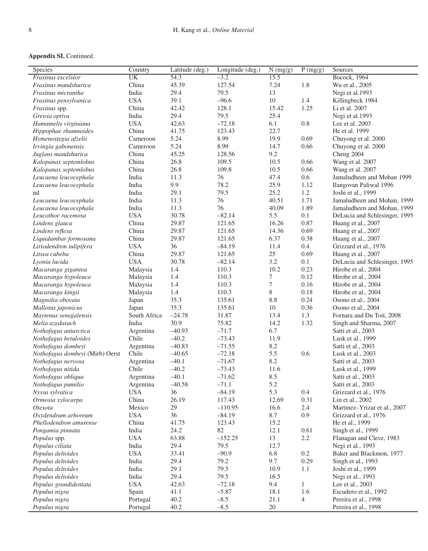| <b>Species</b>                  | Country      | Latitude (deg.) | Longitude (deg.) | $\overline{N(mg/g)}$ | $\overline{P(mg/g)}$ | Sources                       |
|---------------------------------|--------------|-----------------|------------------|----------------------|----------------------|-------------------------------|
| Fraxinus excelsior              | <b>UK</b>    | 54.3            | $-3.2$           | 15.5                 |                      | <b>Bocock</b> , 1964          |
| Fraxinus mandshurica            | China        | 45.39           | 127.54           | 7.24                 | 1.8                  | Wu et al., 2005               |
| Fraxinus micrantha              | India        | 29.4            | 79.5             | 13                   |                      | Negi et al.1993               |
| Fraxinus pensylvanica           | <b>USA</b>   | 39.1            | $-96.6$          | 10                   | 1.4                  | Killingbeck 1984              |
| Fraxinus spp.                   | China        | 42.42           | 128.1            | 15.42                | 1.25                 | Li et al. 2007                |
| Grewia optiva                   | India        | 29.4            | 79.5             | 25.4                 |                      | Negi et al.1993               |
| Hamamelis virginiana            | <b>USA</b>   | 42.63           | $-72.18$         | 6.1                  | 0.8                  | Lee et al. 2003               |
| Hippophae rhamnoides            | China        | 41.75           | 123.43           | 22.7                 |                      | He et al. 1999                |
| Hymenostegia afzelii            | Cameroon     | 5.24            | 8.99             | 19.9                 | 0.69                 | Chuyong et al. 2000           |
| Irvingia gabonensis             | Cameroon     | 5.24            | 8.99             | 14.7                 | 0.66                 | Chuyong et al. 2000           |
| Juglans mandshurica             | China        | 45.25           | 128.56           | 9.2                  |                      | Cheng 2004                    |
| Kalopanax septemlobus           | China        | 26.8            | 109.5            | 10.5                 | 0.66                 | Wang et al. 2007              |
| Kalopanax septemlobus           | China        | 26.8            | 109.8            | 10.5                 | 0.66                 | Wang et al. 2007              |
| Leucaena leucocephala           | India        | 11.3            | 76               | 47.4                 | 0.6                  | Jamaludheen and Mohan 1999    |
| Leucaena leucocephala           | India        | 9.9             | 78.2             | 25.9                 | 1.12                 | Ilangovan Paliwal 1996        |
| nd                              | India        | 29.1            | 79.5             | 25.2                 | 1.2                  | Joshi et al., 1999            |
| Leucaena leucocephala           | India        | 11.3            | 76               | 40.51                | 1.71                 | Jamaludheen and Mohan, 1999   |
| Leucaena leucocephala           | India        | 11.3            | 76               | 40.09                | 1.89                 | Jamaludheen and Mohan, 1999   |
| Leucothoe racemosa              | <b>USA</b>   | 30.78           | $-82.14$         | 5.5                  | 0.1                  | DeLucia and Schlesinger, 1995 |
| Lindens glauca                  | China        | 29.87           | 121.65           | 16.26                | 0.87                 | Huang et al., 2007            |
| Lindens reflexa                 | China        | 29.87           | 121.65           | 14.36                | 0.69                 | Huang et al., 2007            |
| Liquidambar formosana           | China        | 29.87           | 121.65           | 6.37                 | 0.38                 | Huang et al., 2007            |
| Liriodendron tulipifera         | <b>USA</b>   | 36              | $-84.19$         | 11.4                 | 0.4                  | Grizzard et al., 1976         |
| Litsea cubeba                   | China        | 29.87           | 121.65           | 25                   | 0.69                 | Huang et al., 2007            |
| Lyonia lucida                   | <b>USA</b>   | 30.78           | $-82.14$         | 3.2                  | 0.1                  | DeLucia and Schlesinger, 1995 |
| Macaranga gigantea              | Malaysia     | 1.4             | 110.3            | 10.2                 | 0.23                 | Hirobe et al., 2004           |
| Macaranga hypoleuca             | Malaysia     | 1.4             | 110.3            | 7                    | 0.12                 | Hirobe et al., 2004           |
| Macaranga hypoleuca             | Malaysia     | 1.4             | 110.3            | 7                    | 0.16                 | Hirobe et al., 2004           |
| Macaranga kingii                | Malaysia     | 1.4             | 110.3            | 8                    | 0.18                 | Hirobe et al., 2004           |
| Magnolia obovata                | Japan        | 35.3            | 135.61           | 8.8                  | 0.24                 | Osono et al., 2004            |
| Mallotus japonicus              | Japan        | 35.3            | 135.61           | 10                   | 0.36                 | Osono et al., 2004            |
| Maytenus senegalensis           | South Africa | $-24.78$        | 31.87            | 13.4                 | 1.3                  | Fornara and Du Toit, 2008     |
| Melia azedarach                 | India        | 30.9            | 75.82            | 14.2                 | 1.32                 | Singh and Sharma, 2007        |
| Nothofagus antarctica           | Argentina    | $-40.93$        | $-71.7$          | 6.7                  |                      | Satti et al., 2003            |
| Nothofagus betuloides           | Chile        | $-40.2$         | $-73.43$         | 11.9                 |                      | Lusk et al., 1999             |
| Nothofagus dombeyi              | Argentina    | $-40.83$        | $-71.55$         | 8.2                  |                      | Satti et al., 2003            |
| Nothofagus dombeyi (Mirb) Oerst | Chile        | $-40.65$        | $-72.18$         | 5.5                  | 0.6                  | Lusk et al., 2003             |
| Nothofagus nervosa              | Argentina    | $-40.1$         | $-71.67$         | 8.2                  |                      | Satti et al., 2003            |
| Nothofagus nitida               | Chile        | $-40.2$         | $-73.43$         | 11.6                 |                      | Lusk et al., 1999             |
| Nothofagus obliqua              | Argentina    | $-40.1$         | $-71.62$         | 8.5                  |                      | Satti et al., 2003            |
| Nothofagus pumilio              | Argentina    | $-40.58$        | $-71.1$          | 5.2                  |                      | Satti et al., 2003            |
| Nyssa sylvatica                 | <b>USA</b>   | 36              | $-84.19$         | 5.3                  | 0.4                  | Grizzard et al., 1976         |
| Ormosia xylocarpa               | China        | 26.19           | 117.43           | 12.69                | 0.31                 | Lin et al., 2002              |
| Otesota                         | Mexico       | 29              | $-110.95$        | 16.6                 | 2.4                  | Martinez-Yrizar et al., 2007  |
| Oxydendrum arboreum             | <b>USA</b>   | 36              | $-84.19$         | 8.7                  | 0.9                  | Grizzard et al., 1976         |
| Phellodendron amurense          | China        | 41.75           | 123.43           | 15.2                 |                      | He et al., 1999               |
| Pongamia pinnata                | India        | 24.2            | 82               | 12.1                 | 0.61                 | Singh et al., 1999            |
| Populus spp.                    | <b>USA</b>   | 63.88           | $-152.25$        | 13                   | $2.2\,$              | Flanagan and Cleve, 1983      |
| Populus ciliata                 | India        | 29.4            | 79.5             | 12.7                 |                      | Negi et al., 1993             |
| Populus deltoides               | <b>USA</b>   | 33.41           | $-90.9$          | 6.8                  | $0.2\,$              | Baker and Blackmon, 1977      |
| Populus deltoides               | India        | 29.4            | 79.2             | 9.7                  | 0.29                 | Singh et al., 1993            |
| Populus deltoides               | India        | 29.1            | 79.5             | 10.9                 | 1.1                  | Joshi et al., 1999            |
| Populus deltoides               | India        | 29.4            | 79.5             | 16.5                 |                      | Negi et al., 1993             |
| Populus grandidentata           | <b>USA</b>   | 42.63           | $-72.18$         | 9.4                  | $\mathbf{1}$         | Lee et al., 2003              |
| Populus nigra                   | Spain        | 41.1            | $-5.87$          | 18.1                 | 1.6                  | Escudero et al., 1992         |
| Populus nigra                   | Portugal     | 40.2            | $-8.5$           | 21.1                 | 4                    | Pereira et al., 1998          |
| Populus nigra                   | Portugal     | 40.2            | $-8.5$           | 20                   |                      | Pereira et al., 1998          |
|                                 |              |                 |                  |                      |                      |                               |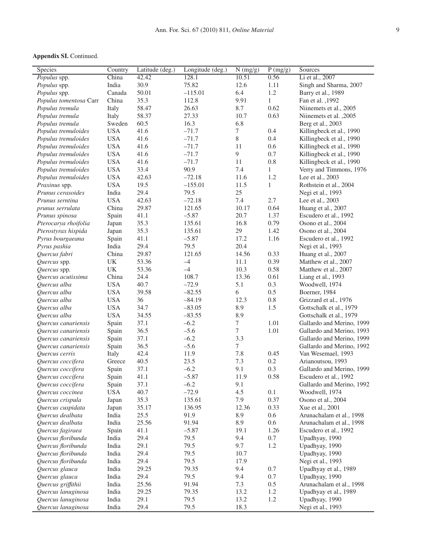| Species                | Country                           | Latitude (deg.) | Longitude (deg.) | $\overline{N(mg/g)}$ | P(mg/g)      | Sources                   |
|------------------------|-----------------------------------|-----------------|------------------|----------------------|--------------|---------------------------|
| Populus spp.           | China                             | 42.42           | 128.1            | 10.51                | 0.56         | Li et al., 2007           |
| Populus spp.           | India                             | 30.9            | 75.82            | 12.6                 | 1.11         | Singh and Sharma, 2007    |
| Populus spp.           | Canada                            | 50.01           | $-115.01$        | 6.4                  | 1.2          | Barry et al., 1989        |
| Populus tomentosa Carr | China                             | 35.3            | 112.8            | 9.91                 | $\mathbf{1}$ | Fan et al., 1992          |
| Populus tremula        | Italy                             | 58.47           | 26.63            | 8.7                  | 0.62         | Niinemets et al., 2005    |
| Populus tremula        | Italy                             | 58.37           | 27.33            | 10.7                 | 0.63         | Niinemets et al., 2005    |
| Populus tremula        | Sweden                            | 60.5            | 16.3             | 6.8                  |              | Berg et al., 2003         |
| Populus tremuloides    | <b>USA</b>                        | 41.6            | $-71.7$          | 7                    | 0.4          | Killingbeck et al., 1990  |
| Populus tremuloides    | <b>USA</b>                        | 41.6            | $-71.7$          | 8                    | 0.4          | Killingbeck et al., 1990  |
| Populus tremuloides    | <b>USA</b>                        | 41.6            | $-71.7$          | 11                   | 0.6          | Killingbeck et al., 1990  |
| Populus tremuloides    | <b>USA</b>                        | 41.6            | $-71.7$          | 9                    | 0.7          | Killingbeck et al., 1990  |
| Populus tremuloides    | <b>USA</b>                        | 41.6            | $-71.7$          | 11                   | 0.8          | Killingbeck et al., 1990  |
| Populus tremuloides    | <b>USA</b>                        | 33.4            | 90.9             | 7.4                  | $\mathbf{1}$ | Verry and Timmons, 1976   |
| Populus tremuloides    | <b>USA</b>                        | 42.63           | $-72.18$         | 11.6                 | $1.2\,$      | Lee et al., 2003          |
| Praxinus spp.          | <b>USA</b>                        | 19.5            | $-155.01$        | 11.5                 | $\mathbf{1}$ | Rothstein et al., 2004    |
| Prunus cerasoides      | India                             | 29.4            | 79.5             | 25                   |              | Negi et al., 1993         |
| Prunus serntina        | <b>USA</b>                        | 42.63           | $-72.18$         | 7.4                  | 2.7          | Lee et al., 2003          |
| prunus serrulata       | China                             | 29.87           | 121.65           | 10.17                | 0.64         | Huang et al., 2007        |
| Prunus spinosa         | Spain                             | 41.1            | $-5.87$          | 20.7                 | 1.37         | Escudero et al., 1992     |
| Pterocarya rhoifolia   | Japan                             | 35.3            | 135.61           | 16.8                 | 0.79         | Osono et al., 2004        |
| Pterostyrax hispida    | Japan                             | 35.3            | 135.61           | 29                   | 1.42         | Osono et al., 2004        |
| Pyrus bourgaeana       | Spain                             | 41.1            | $-5.87$          | 17.2                 | 1.16         | Escudero et al., 1992     |
| Pyrus pashia           | India                             | 29.4            | 79.5             | 20.4                 |              | Negi et al., 1993         |
| Quercus fabri          | China                             | 29.87           | 121.65           | 14.56                | 0.33         | Huang et al., 2007        |
| Quercus spp.           | $\ensuremath{\mathsf{UK}}\xspace$ | 53.36           | $-4$             | 11.1                 | 0.39         | Matthew et al., 2007      |
| Quercus spp.           | $\ensuremath{\mathrm{UK}}\xspace$ | 53.36           | $-4$             | 10.3                 | 0.58         | Matthew et al., 2007      |
| Quercus acutissima     | China                             | 24.4            | 108.7            | 13.36                | 0.61         | Liang et al., 1993        |
| Quercus alba           | <b>USA</b>                        | 40.7            | $-72.9$          | 5.1                  | 0.3          | Woodwell, 1974            |
| Quercus alba           | <b>USA</b>                        | 39.58           | $-82.55$         | 6                    | 0.5          | Boerner, 1984             |
| Quercus alba           | <b>USA</b>                        | 36              | $-84.19$         | 12.3                 | $0.8\,$      | Grizzard et al., 1976     |
| Quercus alba           | <b>USA</b>                        | 34.7            | $-83.05$         | 8.9                  | 1.5          | Gottschalk et al., 1979   |
| Quercus alba           | <b>USA</b>                        | 34.55           | $-83.55$         | 8.9                  |              | Gottschalk et al., 1979   |
| Quercus canariensis    | Spain                             | 37.1            | $-6.2$           | 7                    | 1.01         | Gallardo and Merino, 1999 |
| Quercus canariensis    | Spain                             | 36.5            | $-5.6$           | $\overline{7}$       | 1.01         | Gallardo and Merino, 1993 |
| Quercus canariensis    | Spain                             | 37.1            | $-6.2$           | 3.3                  |              | Gallardo and Merino, 1999 |
| Quercus canariensis    | Spain                             | 36.5            | $-5.6$           | $\tau$               |              | Gallardo and Merino, 1992 |
| Quercus cerris         | Italy                             | 42.4            | 11.9             | 7.8                  | 0.45         | Van Wesemael, 1993        |
| Quercus coccifera      | Greece                            | 40.5            | 23.5             | 7.3                  | 0.2          | Arianoutsou, 1993         |
| Quercus coccifera      | Spain                             | 37.1            | $-6.2$           | 9.1                  | 0.3          | Gallardo and Merino, 1999 |
| Quercus coccifera      | Spain                             | 41.1            | $-5.87$          | 11.9                 | 0.58         | Escudero et al., 1992     |
| Quercus coccifera      | Spain                             | 37.1            | $-6.2$           | 9.1                  |              | Gallardo and Merino, 1992 |
| Quercus coccinea       | <b>USA</b>                        | 40.7            | $-72.9$          | 4.5                  | 0.1          | Woodwell, 1974            |
| Quercus crispula       | Japan                             | 35.3            | 135.61           | 7.9                  | 0.37         | Osono et al., 2004        |
| Quercus cuspidata      | Japan                             | 35.17           | 136.95           | 12.36                | 0.33         | Xue et al., 2001          |
| Quercus dealbata       | India                             | 25.5            | 91.9             | 8.9                  | 0.6          | Arunachalam et al., 1998  |
| Quercus dealbata       | India                             | 25.56           | 91.94            | 8.9                  | 0.6          | Arunachalam et al., 1998  |
| Quercus fagiraea       | Spain                             | 41.1            | $-5.87$          | 19.1                 | 1.26         | Escudero et al., 1992     |
| Quercus floribunda     | India                             | 29.4            | 79.5             | 9.4                  | $0.7\,$      | Upadhyay, 1990            |
| Quercus floribunda     | India                             | 29.1            | 79.5             | 9.7                  | 1.2          | Upadhyay, 1990            |
| Quercus floribunda     | India                             | 29.4            | 79.5             | 10.7                 |              | Upadhyay, 1990            |
| Quercus floribunda     | India                             | 29.4            | 79.5             | 17.9                 |              | Negi et al., 1993         |
| Quercus glauca         | India                             | 29.25           | 79.35            | 9.4                  | 0.7          | Upadhyay et al., 1989     |
| Quercus glauca         | India                             | 29.4            | 79.5             | 9.4                  | 0.7          | Upadhyay, 1990            |
| Quercus griffithii     | India                             | 25.56           | 91.94            | 7.3                  | 0.5          | Arunachalam et al., 1998  |
| Quercus lanuginosa     | India                             | 29.25           | 79.35            | 13.2                 | 1.2          | Upadhyay et al., 1989     |
| Quercus lanuginosa     | India                             | 29.1            | 79.5             | 13.2                 | 1.2          | Upadhyay, 1990            |
| Quercus lanuginosa     | India                             | 29.4            | 79.5             | 18.3                 |              | Negi et al., 1993         |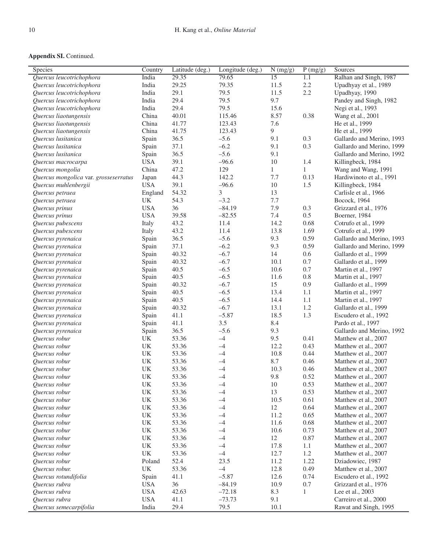| Species                               | Country                           | Latitude (deg.) | Longitude (deg.) | N (mg/g)        | P(mg/g)      | Sources                   |
|---------------------------------------|-----------------------------------|-----------------|------------------|-----------------|--------------|---------------------------|
| Quercus leucotrichophora              | India                             | 29.35           | 79.65            | $\overline{15}$ | 1.1          | Ralhan and Singh, 1987    |
| Quercus leucotrichophora              | India                             | 29.25           | 79.35            | 11.5            | 2.2          | Upadhyay et al., 1989     |
| Quercus leucotrichophora              | India                             | 29.1            | 79.5             | 11.5            | 2.2          | Upadhyay, 1990            |
| Quercus leucotrichophora              | India                             | 29.4            | 79.5             | 9.7             |              | Pandey and Singh, 1982    |
| Quercus leucotrichophora              | India                             | 29.4            | 79.5             | 15.6            |              | Negi et al., 1993         |
| Quercus liaotungensis                 | China                             | 40.01           | 115.46           | 8.57            | 0.38         | Wang et al., 2001         |
| Quercus liaotungensis                 | China                             | 41.77           | 123.43           | 7.6             |              | He et al., 1999           |
| Quercus liaotungensis                 | China                             | 41.75           | 123.43           | 9               |              | He et al., 1999           |
| Quercus lusitanica                    | Spain                             | 36.5            | $-5.6$           | 9.1             | 0.3          | Gallardo and Merino, 1993 |
| Quercus lusitanica                    | Spain                             | 37.1            | $-6.2$           | 9.1             | 0.3          | Gallardo and Merino, 1999 |
| Quercus lusitanica                    | Spain                             | 36.5            | $-5.6$           | 9.1             |              | Gallardo and Merino, 1992 |
| Quercus macrocarpa                    | <b>USA</b>                        | 39.1            | $-96.6$          | $10\,$          | 1.4          | Killingbeck, 1984         |
| Quercus mongolia                      | China                             | 47.2            | 129              | $\mathbf{1}$    | $\mathbf{1}$ | Wang and Wang, 1991       |
| Quercus mongolica var. grosseserratus | Japan                             | 44.3            | 142.2            | 7.7             | 0.13         | Hardiwinoto et al., 1991  |
| Quercus muhlenbergii                  | <b>USA</b>                        | 39.1            | $-96.6$          | $10\,$          | 1.5          | Killingbeck, 1984         |
| Quercus petraea                       | England                           | 54.32           | $\mathfrak{Z}$   | 13              |              | Carlisle et al., 1966     |
| Quercus petraea                       | UK                                | 54.3            | $-3.2$           | 7.7             |              | Bocock, 1964              |
| Quercus prinus                        | <b>USA</b>                        | 36              | $-84.19$         | 7.9             | 0.3          | Grizzard et al., 1976     |
| Quercus prinus                        | <b>USA</b>                        | 39.58           | $-82.55$         | 7.4             | 0.5          | Boerner, 1984             |
| Quercus pubescens                     | Italy                             | 43.2            | 11.4             | 14.2            | 0.68         | Cotrufo et al., 1999      |
| Quercus pubescens                     | Italy                             | 43.2            | 11.4             | 13.8            | 1.69         | Cotrufo et al., 1999      |
| Quercus pyrenaica                     | Spain                             | 36.5            | $-5.6$           | 9.3             | 0.59         | Gallardo and Merino, 1993 |
| Quercus pyrenaica                     | Spain                             | 37.1            | $-6.2$           | 9.3             | 0.59         | Gallardo and Merino, 1999 |
| Quercus pyrenaica                     | Spain                             | 40.32           | $-6.7$           | 14              | 0.6          | Gallardo et al., 1999     |
| Quercus pyrenaica                     | Spain                             | 40.32           | $-6.7$           | 10.1            | 0.7          | Gallardo et al., 1999     |
| Quercus pyrenaica                     | Spain                             | 40.5            | $-6.5$           | 10.6            | 0.7          | Martin et al., 1997       |
| Quercus pyrenaica                     | Spain                             | 40.5            | $-6.5$           | 11.6            | $0.8\,$      | Martin et al., 1997       |
| Quercus pyrenaica                     | Spain                             | 40.32           | $-6.7$           | 15              | 0.9          | Gallardo et al., 1999     |
| Quercus pyrenaica                     | Spain                             | 40.5            | $-6.5$           | 13.4            | 1.1          | Martin et al., 1997       |
| Quercus pyrenaica                     | Spain                             | 40.5            | $-6.5$           | 14.4            | $1.1\,$      | Martin et al., 1997       |
| Quercus pyrenaica                     | Spain                             | 40.32           | $-6.7$           | 13.1            | 1.2          | Gallardo et al., 1999     |
| Quercus pyrenaica                     | Spain                             | 41.1            | $-5.87$          | 18.5            | 1.3          | Escudero et al., 1992     |
| Quercus pyrenaica                     | Spain                             | 41.1            | 3.5              | 8.4             |              | Pardo et al., 1997        |
| Quercus pyrenaica                     | Spain                             | 36.5            | $-5.6$           | 9.3             |              | Gallardo and Merino, 1992 |
| Quercus robur                         | UK                                | 53.36           | $-4$             | 9.5             | 0.41         | Matthew et al., 2007      |
| Quercus robur                         | UK                                | 53.36           | $-4$             | 12.2            | 0.43         | Matthew et al., 2007      |
| Quercus robur                         | UK                                | 53.36           | $-4$             | 10.8            | 0.44         | Matthew et al., 2007      |
| Quercus robur                         | $\ensuremath{\mathrm{UK}}\xspace$ | 53.36           | $-4$             | 8.7             | 0.46         | Matthew et al., 2007      |
| Quercus robur                         | $\ensuremath{\mathrm{UK}}\xspace$ | 53.36           | $-4$             | 10.3            | 0.46         | Matthew et al., 2007      |
| Quercus robur                         | $\ensuremath{\mathrm{UK}}\xspace$ | 53.36           | $-4$             | 9.8             | 0.52         | Matthew et al., 2007      |
| Quercus robur                         | UK                                | 53.36           | $-4$             | 10              | 0.53         | Matthew et al., 2007      |
| Ouercus robur                         | UK                                | 53.36           | $-4$             | 13              | 0.53         | Matthew et al., 2007      |
| Quercus robur                         | $\ensuremath{\mathrm{UK}}\xspace$ | 53.36           | $-4$             | 10.5            | 0.61         | Matthew et al., 2007      |
| Quercus robur                         | $\ensuremath{\mathrm{UK}}\xspace$ | 53.36           | $-4$             | 12              | 0.64         | Matthew et al., 2007      |
| Quercus robur                         | $\ensuremath{\mathrm{UK}}\xspace$ | 53.36           | $-4$             | 11.2            | 0.65         | Matthew et al., 2007      |
| Quercus robur                         | UK                                | 53.36           | $-4$             | 11.6            | 0.68         | Matthew et al., 2007      |
| Ouercus robur                         | $\ensuremath{\mathsf{UK}}\xspace$ | 53.36           | $-4$             | 10.6            | 0.73         | Matthew et al., 2007      |
| Quercus robur                         | UK                                | 53.36           | $-4$             | 12              | 0.87         | Matthew et al., 2007      |
| Quercus robur                         | UK                                | 53.36           | $-4$             | 17.8            | 1.1          | Matthew et al., 2007      |
| Quercus robur                         | UK                                | 53.36           | $-4$             | 12.7            | 1.2          | Matthew et al., 2007      |
| Quercus robur                         | Poland                            | 52.4            | 23.5             | 11.2            | 1.22         | Dziadowiec, 1987          |
| Quercus robur.                        | $\ensuremath{\mathrm{UK}}\xspace$ | 53.36           | $-4$             | 12.8            | 0.49         | Matthew et al., 2007      |
| Quercus rotundifolia                  | Spain                             | 41.1            | $-5.87$          | 12.6            | 0.74         | Escudero et al., 1992     |
| Quercus rubra                         | <b>USA</b>                        | 36              | $-84.19$         | 10.9            | $0.7\,$      | Grizzard et al., 1976     |
| Quercus rubra                         | <b>USA</b>                        | 42.63           | $-72.18$         | 8.3             | 1            | Lee et al., 2003          |
| Quercus rubra                         | <b>USA</b>                        | 41.1            | $-73.73$         | 9.1             |              | Carreiro et al., 2000     |
| Quercus semecarpifolia                | India                             | 29.4            | 79.5             | 10.1            |              | Rawat and Singh, 1995     |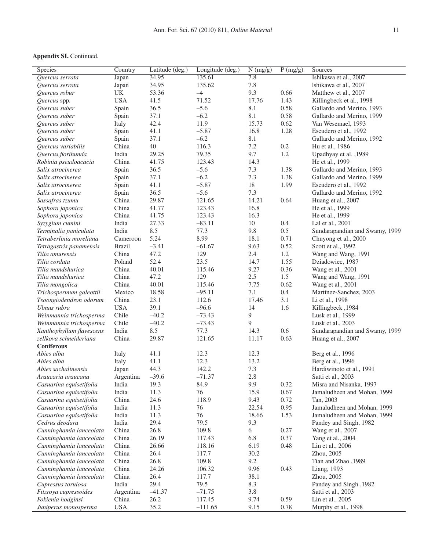| Species                  | Country       | Latitude (deg.) | Longitude (deg.) | N(mg/g) | P(mg/g) | Sources                        |
|--------------------------|---------------|-----------------|------------------|---------|---------|--------------------------------|
| Quercus serrata          | Japan         | 34.95           | 135.61           | 7.8     |         | Ishikawa et al., 2007          |
| Ouercus serrata          | Japan         | 34.95           | 135.62           | 7.8     |         | Ishikawa et al., 2007          |
| Quercus robur            | UK            | 53.36           | $-4$             | 9.3     | 0.66    | Matthew et al., 2007           |
| Quercus spp.             | <b>USA</b>    | 41.5            | 71.52            | 17.76   | 1.43    | Killingbeck et al., 1998       |
| Quercus suber            | Spain         | 36.5            | $-5.6$           | 8.1     | 0.58    | Gallardo and Merino, 1993      |
| Quercus suber            | Spain         | 37.1            | $-6.2$           | 8.1     | 0.58    | Gallardo and Merino, 1999      |
| Quercus suber            | Italy         | 42.4            | 11.9             | 15.73   | 0.62    | Van Wesemael, 1993             |
| Quercus suber            | Spain         | 41.1            | $-5.87$          | 16.8    | 1.28    | Escudero et al., 1992          |
| Quercus suber            | Spain         | 37.1            | $-6.2$           | 8.1     |         | Gallardo and Merino, 1992      |
| Quercus variabilis       | China         | 40              | 116.3            | 7.2     | 0.2     | Hu et al., 1986                |
| Quercus, florihunda      | India         | 29.25           | 79.35            | 9.7     | 1.2     | Upadhyay et al., 1989          |
| Robinia pseudoacacia     | China         | 41.75           | 123.43           | 14.3    |         | He et al., 1999                |
| Salix atrocinerea        | Spain         | 36.5            | $-5.6$           | 7.3     | 1.38    | Gallardo and Merino, 1993      |
| Salix atrocinerea        | Spain         | 37.1            | $-6.2$           | 7.3     | 1.38    | Gallardo and Merino, 1999      |
| Salix atrocinerea        | Spain         | 41.1            | $-5.87$          | 18      | 1.99    | Escudero et al., 1992          |
| Salix atrocinerea        | Spain         | 36.5            | $-5.6$           | 7.3     |         | Gallardo and Merino, 1992      |
| Sassafras tzumu          | China         | 29.87           | 121.65           | 14.21   | 0.64    | Huang et al., 2007             |
| Sophora japonica         | China         | 41.77           | 123.43           | 16.8    |         | He et al., 1999                |
| Sophora japonica         | China         | 41.75           | 123.43           | 16.3    |         | He et al., 1999                |
| Syzygium cumini          | India         | 27.33           | $-83.11$         | 10      | 0.4     | Lal et al., 2001               |
| Terminalia paniculata    | India         | 8.5             | 77.3             | 9.8     | 0.5     | Sundarapandian and Swamy, 1999 |
| Tetraberlinia moreliana  | Cameroon      | 5.24            | 8.99             | 18.1    | 0.71    | Chuyong et al., 2000           |
| Tetragastris panamensis  | <b>Brazil</b> | $-3.41$         | $-61.67$         | 9.63    | 0.52    | Scott et al., 1992             |
| Tilia amurensis          | China         | 47.2            | 129              | 2.4     | 1.2     | Wang and Wang, 1991            |
| Tilia cordata            | Poland        | 52.4            | 23.5             | 14.7    | 1.55    | Dziadowiec, 1987               |
| Tilia mandshurica        | China         | 40.01           | 115.46           | 9.27    | 0.36    | Wang et al., 2001              |
| Tilia mandshurica        | China         | 47.2            | 129              | 2.5     | 1.5     | Wang and Wang, 1991            |
| Tilia mongolica          | China         | 40.01           | 115.46           | 7.75    | 0.62    | Wang et al., 2001              |
| Trichospermum galeottii  | Mexico        | 18.58           | $-95.11$         | 7.1     | 0.4     | Martínez-Sanchez, 2003         |
| Tsoongiodendron odorum   | China         | 23.1            | 112.6            | 17.46   | 3.1     | Li et al., 1998                |
| Ulmus rubra              | <b>USA</b>    | 39.1            | $-96.6$          | 14      | 1.6     | Killingbeck, 1984              |
| Weinmannia trichosperma  | Chile         | $-40.2$         | $-73.43$         | 9       |         | Lusk et al., 1999              |
| Weinmannia trichosperma  | Chile         | $-40.2$         | $-73.43$         | 9       |         | Lusk et al., 2003              |
| Xanthophyllum flavescens | India         | 8.5             | 77.3             | 14.3    | 0.6     | Sundarapandian and Swamy, 1999 |
| zellkova schneideriana   | China         | 29.87           | 121.65           | 11.17   | 0.63    | Huang et al., 2007             |
| Coniferous               |               |                 |                  |         |         |                                |
| Abies alba               | Italy         | 41.1            | 12.3             | 12.3    |         | Berg et al., 1996              |
| Abies alba               | Italy         | 41.1            | 12.3             | 13.2    |         | Berg et al., 1996              |
| Abies sachalinensis      | Japan         | 44.3            | 142.2            | 7.3     |         | Hardiwinoto et al., 1991       |
| Araucaria araucana       | Argentina     | $-39.6$         | $-71.37$         | 2.8     |         | Satti et al., 2003             |
| Casuarina equisetifolia  | India         | 19.3            | 84.9             | 9.9     | 0.32    | Misra and Nisanka, 1997        |
| Casuarina equisetifolia  | India         | 11.3            | 76               | 15.9    | 0.67    | Jamaludheen and Mohan, 1999    |
| Casuarina equisetifolia  | China         | 24.6            | 118.9            | 9.43    | 0.72    | Tan, 2003                      |
| Casuarina equisetifolia  | India         | 11.3            | 76               | 22.54   | 0.95    | Jamaludheen and Mohan, 1999    |
| Casuarina equisetifolia  | India         | 11.3            | 76               | 18.66   | 1.53    | Jamaludheen and Mohan, 1999    |
| Cedrus deodara           | India         | 29.4            | 79.5             | 9.3     |         | Pandey and Singh, 1982         |
| Cunninghamia lanceolata  | China         | 26.8            | 109.8            | 6       | 0.27    | Wang et al., 2007              |
| Cunninghamia lanceolata  | China         | 26.19           | 117.43           | 6.8     | 0.37    | Yang et al., 2004              |
| Cunninghamia lanceolata  | China         | 26.66           | 118.16           | 6.19    | 0.48    | Lin et al., 2006               |
| Cunninghamia lanceolata  | China         | 26.4            | 117.7            | 30.2    |         | Zhou, 2005                     |
| Cunninghamia lanceolata  | China         | 26.8            | 109.8            | 9.2     |         | Tian and Zhao ,1989            |
| Cunninghamia lanceolata  | China         | 24.26           | 106.32           | 9.96    | 0.43    | Liang, 1993                    |
| Cunninghamia lanceolata  | China         | 26.4            | 117.7            | 38.1    |         | Zhou, 2005                     |
| Cupressus torulosa       | India         | 29.4            | 79.5             | 8.3     |         | Pandey and Singh, 1982         |
| Fitzroya cupressoides    | Argentina     | $-41.37$        | $-71.75$         | 3.8     |         | Satti et al., 2003             |
| Fokienia hodginsi        | China         | 26.2            | 117.45           | 9.74    | 0.59    | Lin et al., 2005               |
| Juniperus monosperma     | <b>USA</b>    | 35.2            | $-111.65$        | 9.15    | 0.78    | Murphy et al., 1998            |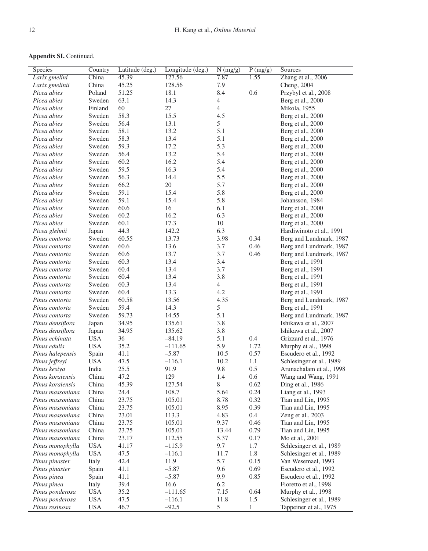| <b>Appendix SI. Continued.</b> |  |
|--------------------------------|--|
|--------------------------------|--|

| Species          | Country    | Latitude (deg.) | Longitude (deg.) | $N$ (mg/g)     | P(mg/g)      | Sources                  |
|------------------|------------|-----------------|------------------|----------------|--------------|--------------------------|
| Larix gmelini    | China      | 45.39           | 127.56           | 7.87           | 1.55         | Zhang et al., 2006       |
| Larix gmelinii   | China      | 45.25           | 128.56           | 7.9            |              | Cheng, 2004              |
| Picea abies      | Poland     | 51.25           | 18.1             | 8.4            | 0.6          | Przybyl et al., 2008     |
| Picea abies      | Sweden     | 63.1            | 14.3             | $\overline{4}$ |              | Berg et al., 2000        |
| Picea abies      | Finland    | 60              | 27               | $\overline{4}$ |              | Mikola, 1955             |
| Picea abies      | Sweden     | 58.3            | 15.5             | 4.5            |              | Berg et al., 2000        |
| Picea abies      | Sweden     | 56.4            | 13.1             | 5              |              | Berg et al., 2000        |
| Picea abies      | Sweden     | 58.1            | 13.2             | 5.1            |              | Berg et al., 2000        |
| Picea abies      | Sweden     | 58.3            | 13.4             | 5.1            |              | Berg et al., 2000        |
| Picea abies      | Sweden     | 59.3            | 17.2             | 5.3            |              | Berg et al., 2000        |
| Picea abies      | Sweden     | 56.4            | 13.2             | 5.4            |              | Berg et al., 2000        |
| Picea abies      | Sweden     | 60.2            | 16.2             | 5.4            |              | Berg et al., 2000        |
| Picea abies      | Sweden     | 59.5            | 16.3             | 5.4            |              | Berg et al., 2000        |
| Picea abies      | Sweden     | 56.3            | 14.4             | 5.5            |              | Berg et al., 2000        |
| Picea abies      | Sweden     | 66.2            | 20               | 5.7            |              | Berg et al., 2000        |
| Picea abies      | Sweden     | 59.1            | 15.4             | 5.8            |              | Berg et al., 2000        |
| Picea abies      | Sweden     | 59.1            | 15.4             | 5.8            |              | Johansson, 1984          |
| Picea abies      | Sweden     | 60.6            | 16               | 6.1            |              | Berg et al., 2000        |
| Picea abies      | Sweden     | 60.2            | 16.2             | 6.3            |              | Berg et al., 2000        |
| Picea abies      | Sweden     | 60.1            | 17.3             | 10             |              | Berg et al., 2000        |
| Picea glehnii    | Japan      | 44.3            | 142.2            | 6.3            |              | Hardiwinoto et al., 1991 |
| Pinus contorta   | Sweden     | 60.55           | 13.73            | 3.98           | 0.34         | Berg and Lundmark, 1987  |
| Pinus contorta   | Sweden     | 60.6            | 13.6             | 3.7            | 0.46         | Berg and Lundmark, 1987  |
| Pinus contorta   | Sweden     | 60.6            | 13.7             | 3.7            | 0.46         | Berg and Lundmark, 1987  |
| Pinus contorta   | Sweden     | 60.3            | 13.4             | 3.4            |              | Berg et al., 1991        |
| Pinus contorta   | Sweden     | 60.4            | 13.4             | 3.7            |              | Berg et al., 1991        |
| Pinus contorta   | Sweden     | 60.4            | 13.4             | 3.8            |              | Berg et al., 1991        |
| Pinus contorta   | Sweden     | 60.3            | 13.4             | $\overline{4}$ |              | Berg et al., 1991        |
| Pinus contorta   | Sweden     | 60.4            | 13.3             | 4.2            |              | Berg et al., 1991        |
| Pinus contorta   | Sweden     | 60.58           | 13.56            | 4.35           |              | Berg and Lundmark, 1987  |
| Pinus contorta   | Sweden     | 59.4            | 14.3             | 5              |              | Berg et al., 1991        |
| Pinus contorta   | Sweden     | 59.73           | 14.55            | 5.1            |              | Berg and Lundmark, 1987  |
| Pinus densiflora | Japan      | 34.95           | 135.61           | 3.8            |              | Ishikawa et al., 2007    |
| Pinus densiflora | Japan      | 34.95           | 135.62           | 3.8            |              | Ishikawa et al., 2007    |
| Pinus echinata   | <b>USA</b> | 36              | $-84.19$         | 5.1            | 0.4          | Grizzard et al., 1976    |
| Pinus edulis     | <b>USA</b> | 35.2            | $-111.65$        | 5.9            | 1.72         | Murphy et al., 1998      |
| Pinus halepensis | Spain      | 41.1            | $-5.87$          | 10.5           | 0.57         | Escudero et al., 1992    |
| Pinus jeffreyi   | <b>USA</b> | 47.5            | $-116.1$         | 10.2           | 1.1          | Schlesinger et al., 1989 |
| Pinus kesiya     | India      | 25.5            | 91.9             | 9.8            | 0.5          | Arunachalam et al., 1998 |
| Pinus koraiensis | China      | 47.2            | 129              | 1.4            | 0.6          | Wang and Wang, 1991      |
| Pinus koraiensis | China      | 45.39           | 127.54           | 8              | 0.62         | Ding et al., 1986        |
| Pinus massoniana | China      | 24.4            | 108.7            | 5.64           | 0.24         | Liang et al., 1993       |
| Pinus massoniana | China      | 23.75           | 105.01           | 8.78           | 0.32         | Tian and Lin, 1995       |
| Pinus massoniana | China      | 23.75           | 105.01           | 8.95           | 0.39         | Tian and Lin, 1995       |
| Pinus massoniana | China      | 23.01           | 113.3            | 4.83           | 0.4          | Zeng et al., 2003        |
| Pinus massoniana | China      | 23.75           | 105.01           | 9.37           | 0.46         | Tian and Lin, 1995       |
| Pinus massoniana | China      | 23.75           | 105.01           | 13.44          | 0.79         | Tian and Lin, 1995       |
| Pinus massoniana | China      | 23.17           | 112.55           | 5.37           | 0.17         | Mo et al., 2001          |
| Pinus monophylla | <b>USA</b> | 41.17           | $-115.9$         | 9.7            | 1.7          | Schlesinger et al., 1989 |
| Pinus monophylla | <b>USA</b> | 47.5            | $-116.1$         | 11.7           | 1.8          | Schlesinger et al., 1989 |
| Pinus pinaster   | Italy      | 42.4            | 11.9             | 5.7            | 0.15         | Van Wesemael, 1993       |
| Pinus pinaster   | Spain      | 41.1            | $-5.87$          | 9.6            | 0.69         | Escudero et al., 1992    |
| Pinus pinea      | Spain      | 41.1            | $-5.87$          | 9.9            | 0.85         | Escudero et al., 1992    |
| Pinus pinea      | Italy      | 39.4            | 16.6             | 6.2            |              | Fioretto et al., 1998    |
| Pinus ponderosa  | <b>USA</b> | 35.2            | $-111.65$        | 7.15           | 0.64         | Murphy et al., 1998      |
| Pinus ponderosa  | <b>USA</b> | 47.5            | $-116.1$         | 11.8           | 1.5          | Schlesinger et al., 1989 |
| Pinus resinosa   | <b>USA</b> | 46.7            | $-92.5$          | 5              | $\mathbf{1}$ | Tappeiner et al., 1975   |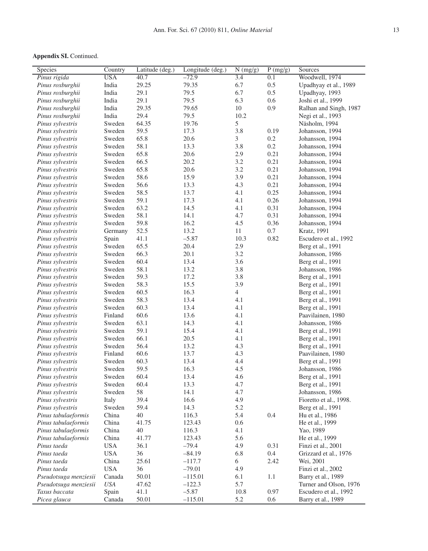| Species               | Country    | Latitude (deg.) | Longitude (deg.) | N (mg/g)       | $\overline{P(mg/g)}$ | Sources                |  |
|-----------------------|------------|-----------------|------------------|----------------|----------------------|------------------------|--|
| Pinus rigida          | <b>USA</b> | 40.7            | $-72.9$          | 3.4            | 0.1                  | Woodwell, 1974         |  |
| Pinus roxburghii      | India      | 29.25           | 79.35            | 6.7            | 0.5                  | Upadhyay et al., 1989  |  |
| Pinus roxburghii      | India      | 29.1            | 79.5             | 6.7            | 0.5                  | Upadhyay, 1993         |  |
| Pinus roxburghii      | India      | 29.1            | 79.5             | 6.3            | 0.6                  | Joshi et al., 1999     |  |
| Pinus roxburghii      | India      | 29.35           | 79.65            | 10             | 0.9                  | Ralhan and Singh, 1987 |  |
| Pinus roxburghii      | India      | 29.4            | 79.5             | 10.2           |                      | Negi et al., 1993      |  |
| Pinus sylvestris      | Sweden     | 64.35           | 19.76            | 5              |                      | Näsholm, 1994          |  |
| Pinus sylvestris      | Sweden     | 59.5            | 17.3             | 3.8            | 0.19                 | Johansson, 1994        |  |
| Pinus sylvestris      | Sweden     | 65.8            | 20.6             | 3              | $0.2\,$              | Johansson, 1994        |  |
| Pinus sylvestris      | Sweden     | 58.1            | 13.3             | 3.8            | 0.2                  | Johansson, 1994        |  |
| Pinus sylvestris      | Sweden     | 65.8            | 20.6             | 2.9            | 0.21                 | Johansson, 1994        |  |
| Pinus sylvestris      | Sweden     | 66.5            | 20.2             | 3.2            | 0.21                 | Johansson, 1994        |  |
| Pinus sylvestris      | Sweden     | 65.8            | 20.6             | 3.2            | 0.21                 | Johansson, 1994        |  |
| Pinus sylvestris      | Sweden     | 58.6            | 15.9             | 3.9            | 0.21                 | Johansson, 1994        |  |
| Pinus sylvestris      | Sweden     | 56.6            | 13.3             | 4.3            | 0.21                 | Johansson, 1994        |  |
| Pinus sylvestris      | Sweden     | 58.5            | 13.7             | 4.1            | 0.25                 | Johansson, 1994        |  |
| Pinus sylvestris      | Sweden     | 59.1            | 17.3             | 4.1            | 0.26                 | Johansson, 1994        |  |
| Pinus sylvestris      | Sweden     | 63.2            | 14.5             | 4.1            | 0.31                 | Johansson, 1994        |  |
| Pinus sylvestris      | Sweden     | 58.1            | 14.1             | 4.7            | 0.31                 | Johansson, 1994        |  |
| Pinus sylvestris      | Sweden     | 59.8            | 16.2             | 4.5            | 0.36                 | Johansson, 1994        |  |
| Pinus sylvestris      | Germany    | 52.5            | 13.2             | 11             | 0.7                  | Kratz, 1991            |  |
| Pinus sylvestris      | Spain      | 41.1            | $-5.87$          | 10.3           | 0.82                 | Escudero et al., 1992  |  |
| Pinus sylvestris      | Sweden     | 65.5            | 20.4             | $2.9\,$        |                      | Berg et al., 1991      |  |
| Pinus sylvestris      | Sweden     | 66.3            | 20.1             | 3.2            |                      | Johansson, 1986        |  |
| Pinus sylvestris      | Sweden     | 60.4            | 13.4             | 3.6            |                      | Berg et al., 1991      |  |
| Pinus sylvestris      | Sweden     | 58.1            | 13.2             | 3.8            |                      | Johansson, 1986        |  |
| Pinus sylvestris      | Sweden     | 59.3            | 17.2             | 3.8            |                      | Berg et al., 1991      |  |
| Pinus sylvestris      | Sweden     | 58.3            | 15.5             | 3.9            |                      | Berg et al., 1991      |  |
| Pinus sylvestris      | Sweden     | 60.5            | 16.3             | $\overline{4}$ |                      | Berg et al., 1991      |  |
| Pinus sylvestris      | Sweden     | 58.3            | 13.4             | 4.1            |                      | Berg et al., 1991      |  |
| Pinus sylvestris      | Sweden     | 60.3            | 13.4             | 4.1            |                      | Berg et al., 1991      |  |
| Pinus sylvestris      | Finland    | 60.6            | 13.6             | 4.1            |                      | Paavilainen, 1980      |  |
| Pinus sylvestris      | Sweden     | 63.1            | 14.3             | 4.1            |                      | Johansson, 1986        |  |
| Pinus sylvestris      | Sweden     | 59.1            | 15.4             | 4.1            |                      | Berg et al., 1991      |  |
| Pinus sylvestris      | Sweden     | 66.1            | 20.5             | 4.1            |                      | Berg et al., 1991      |  |
| Pinus sylvestris      | Sweden     | 56.4            | 13.2             | 4.3            |                      | Berg et al., 1991      |  |
| Pinus sylvestris      | Finland    | 60.6            | 13.7             | 4.3            |                      | Paavilainen, 1980      |  |
| Pinus sylvestris      | Sweden     | 60.3            | 13.4             | 4.4            |                      | Berg et al., 1991      |  |
| Pinus sylvestris      | Sweden     | 59.5            | 16.3             | 4.5            |                      | Johansson, 1986        |  |
| Pinus sylvestris      | Sweden     | 60.4            | 13.4             | 4.6            |                      | Berg et al., 1991      |  |
| Pinus sylvestris      | Sweden     | 60.4            | 13.3             | 4.7            |                      | Berg et al., 1991      |  |
| Pinus sylvestris      | Sweden     | 58              | 14.1             | 4.7            |                      | Johansson, 1986        |  |
| Pinus sylvestris      | Italy      | 39.4            | 16.6             | 4.9            |                      | Fioretto et al., 1998. |  |
| Pinus sylvestris      | Sweden     | 59.4            | 14.3             | 5.2            |                      | Berg et al., 1991      |  |
| Pinus tabulaeformis   | China      | 40              | 116.3            | 5.4            | 0.4                  | Hu et al., 1986        |  |
| Pinus tabulaeformis   | China      | 41.75           | 123.43           | $0.6\,$        |                      | He et al., 1999        |  |
| Pinus tabulaeformis   | China      | 40              | 116.3            | 4.1            |                      | Yao, 1989              |  |
| Pinus tabulaeformis   | China      | 41.77           | 123.43           | 5.6            |                      | He et al., 1999        |  |
| Pinus taeda           | <b>USA</b> | 36.1            | $-79.4$          | 4.9            | 0.31                 | Finzi et al., 2001     |  |
| Pinus taeda           | <b>USA</b> | 36              | $-84.19$         | 6.8            | $0.4\,$              | Grizzard et al., 1976  |  |
| Pinus taeda           | China      | 25.61           | $-117.7$         | 6              | 2.42                 | Wei, 2001              |  |
| Pinus taeda           | <b>USA</b> | 36              | $-79.01$         | 4.9            |                      | Finzi et al., 2002     |  |
| Pseudotsuga menziesii | Canada     | 50.01           | $-115.01$        | 6.1            | $1.1\,$              | Barry et al., 1989     |  |
| Pseudotsuga menziesii | USA        | 47.62           | $-122.3$         | 5.7            |                      | Turner and Olson, 1976 |  |
| Taxus baccata         | Spain      | 41.1            | $-5.87$          | 10.8           | 0.97                 | Escudero et al., 1992  |  |
| Picea glauca          | Canada     | 50.01           | $-115.01$        | 5.2            | 0.6                  | Barry et al., 1989     |  |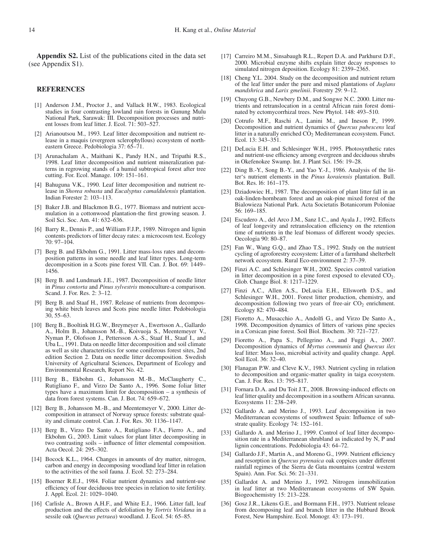**Appendix S2.** List of the publications cited in the data set (see Appendix S1).

#### **REFERENCES**

- [1] Anderson J.M., Proctor J., and Vallack H.W., 1983. Ecological studies in four contrasting lowland rain forests in Gunung Mulu National Park, Sarawak: III. Decomposition processes and nutrient losses from leaf litter. J. Ecol. 71: 503–527.
- [2] Arianoutsou M., 1993. Leaf litter decomposition and nutrient release in a maquis (evergreen sclerophyllous) ecosystem of northeastern Greece. Pedobiologia 37: 65–71.
- [3] Arunachalam A., Maithani K., Pandy H.N., and Tripathi R.S., 1998. Leaf litter decomposition and nutrient mineralization patterns in regrowing stands of a humid subtropical forest after tree cutting. For. Ecol. Manage. 109: 151–161.
- [4] Bahuguna V.K., 1990. Leaf litter decomposition and nutrient release in *Shorea robusta* and *Eucalyptus camaldulensis* plantation. Indian Forester 2: 103–113.
- [5] Baker J.B. and Blackmon B.G., 1977. Biomass and nutrient accumulation in a cottonwood plantation-the first growing season. J. Soil Sci. Soc. Am. 41: 632–636.
- [6] Barry R., Dennis P., and William F.J.P., 1989. Nitrogen and lignin contents predictors of litter decay rates: a microcosm test. Ecology 70: 97–104.
- [7] Berg B. and Ekbohm G., 1991. Litter mass-loss rates and decomposition patterns in some needle and leaf litter types. Long-term decomposition in a Scots pine forest VII. Can. J. Bot. 69: 1449– 1456.
- [8] Berg B. and Lundmark J.E., 1987. Decomposition of needle litter in *Pinus contorta* and *Pinus sylvestris* monoculture-a comparison. Scand. J. For. Res. 2: 3–12.
- [9] Berg B. and Staaf H., 1987. Release of nutrients from decomposing white birch leaves and Scots pine needle litter. Pedobiologia 30, 55–63.
- [10] Berg B., Booltink H.G.W., Breymeyer A., Ewertsson A., Gallardo A., Holm B., Johansson M.-B., Koivuoja S., Meentemeyer V., Nyman P., Olofsson J., Pettersson A.-S., Staaf H., Staaf I., and Uba L., 1991. Data on needle litter decomposition and soil climate as well as site characteristics for some coniferous forest sites, 2nd edition Section 2. Data on needle litter decomposition. Swedish University of Agricultural Sciences, Department of Ecology and Environmental Research, Report No. 42.
- [11] Berg B., Ekbohm G., Johansson M.-B., McClaugherty C., Rutigliano F., and Virzo De Santo A., 1996. Some foliar litter types have a maximum limit for decomposition – a synthesis of data from forest systems. Can. J. Bot. 74: 659–672.
- [12] Berg B., Johansson M.-B., and Meentemeyer V., 2000. Litter decomposition in atransect of Norway spruce forests: substrate quality and climate control. Can. J. For. Res. 30: 1136–1147.
- [13] Berg B., Virzo De Santo A., Rutigliano F.A., Fierro A., and Ekbohm G., 2003. Limit values for plant litter decompositing in two contrasting soils – influence of litter elemental composition. Acta Oecol. 24: 295–302.
- [14] Bocock K.L., 1964. Changes in amounts of dry matter, nitrogen, carbon and energy in decomposing woodland leaf litter in relation to the activities of the soil fauna. J. Ecol. 52: 273–284.
- [15] Boerner R.E.J., 1984. Foliar nutrient dynamics and nutrient-use efficiency of four deciduous tree species in relation to site fertility. J. Appl. Ecol. 21: 1029–1040.
- [16] Carlisle A., Brown A.H.F., and White E.J., 1966. Litter fall, leaf production and the effects of defoliation by *Tortrix Viridana* in a sessile oak (*Quercus petraea*) woodland. J. Ecol. 54: 65–85.
- [17] Carreiro M.M., Sinsabaugh R.L., Repert D.A. and Parkhurst D.F., 2000. Microbial enzyme shifts explain litter decay responses to simulated nitrogen deposition. Ecology 81: 2359–2365.
- [18] Cheng Y.L. 2004. Study on the decomposition and nutrient return of the leaf litter under the pure and mixed plantations of *Juglans mandshrica* and *Larix gmelinii*. Forestry 29: 9–12.
- [19] Chuyong G.B., Newbery D.M., and Songwe N.C. 2000. Litter nutrients and retranslocation in a central African rain forest dominated by ectomycorrhizal trees. New Phytol. 148: 493–510.
- [20] Cotrufo M.F., Raschi A., Lanini M., and Ineson P., 1999. Decomposition and nutrient dynamics of *Quercus pubescens* leaf litter in a naturally enriched  $CO<sub>2</sub>$  Mediterranean ecosystem. Funct. Ecol. 13: 343–351.
- [21] DeLucia E.H. and Schlesinger W.H., 1995. Photosynthetic rates and nutrient-use efficiency among evergreen and deciduous shrubs in Okefenokee Swamp. Int. J. Plant Sci. 156: 19–28.
- [22] Ding B.-Y., Song B.-Y., and Yao Y.-J., 1986. Analysis of the litter's nutrient elements in the *Pinus koraiensis* plantation. Bull. Bot. Res. l6: 161–175.
- [23] Dziadowiec H., 1987. The decomposition of plant litter fall in an oak-linden-hornbeam forest and an oak-pine mixed forest of the Bialowieza National Park. Acta Societatis Botanicorum Poloniae 56: 169–185.
- [24] Escudero A., del Arco J.M., Sanz I.C., and Ayala J., 1992. Effects of leaf longevity and retranslocation efficiency on the retention time of nutrients in the leaf biomass of different woody species. Oecologia 90: 80–87.
- [25] Fan W., Wang G.Q., and Zhao T.S., 1992. Study on the nutrient cycling of agroforestry ecosystem: Litter of a farmhand shelterbelt network ecosystem. Rural Eco-environment 2: 37–39.
- [26] Finzi A.C. and Schlesinger W.H., 2002. Species control variation in litter decomposition in a pine forest exposed to elevated  $CO<sub>2</sub>$ . Glob. Change Biol. 8: 1217–1229.
- [27] Finzi A.C., Allen A.S., DeLucia E.H., Ellsworth D.S., and Schlesinger W.H., 2001. Forest litter production, chemistry, and decomposition following two years of free-air  $CO<sub>2</sub>$  enrichment. Ecology 82: 470–484.
- [28] Fioretto A., Musacchio A., Andolfi G., and Virzo De Santo A., 1998. Decomposition dynamics of litters of various pine species in a Corsican pine forest. Soil Biol. Biochem. 30: 721–727.
- [29] Fioretto A., Papa S., Pellegrino A., and Fuggi A., 2007. Decomposition dynamics of *Myrtus communis* and *Quercus ilex* leaf litter: Mass loss, microbial activity and quality change. Appl. Soil Ecol. 36: 32–40.
- [30] Flanagan P.W. and Cleve K.V., 1983. Nutrient cycling in relation to decomposition and organic-matter quality in taiga ecosystem. Can. J. For. Res. 13: 795–817.
- [31] Fornara D.A. and Du Toit J.T., 2008. Browsing-induced effects on leaf litter quality and decomposition in a southern African savanna. Ecosystems 11: 238–249.
- [32] Gallardo A. and Merino J., 1993. Leaf decomposition in two Mediterranean ecosystems of southwest Spain: Influence of substrate quality. Ecology 74: 152–161.
- [33] Gallardo A. and Merino J., 1999. Control of leaf litter decomposition rate in a Mediterranean shrubland as indicated by N, P and lignin concentrations. Pedobiologia 43: 64–72.
- [34] Gallardo J.F., Martin A., and Moreno G., 1999. Nutrient efficiency and resorption in *Quercus pyrenaica* oak coppices under different rainfall regimes of the Sierra de Gata mountains (central western Spain). Ann. For. Sci. 56: 21–331.
- [35] Gallardot A. and Merino J., 1992. Nitrogen immobilization in leaf litter at two Mediterranean ecosystems of SW Spain. Biogeochemistry 15: 213–228.
- [36] Gosz J.R., Likens G.E., and Bormann F.H., 1973. Nutrient release from decomposing leaf and branch litter in the Hubbard Brook Forest, New Hampshire. Ecol. Monogr. 43: 173–191.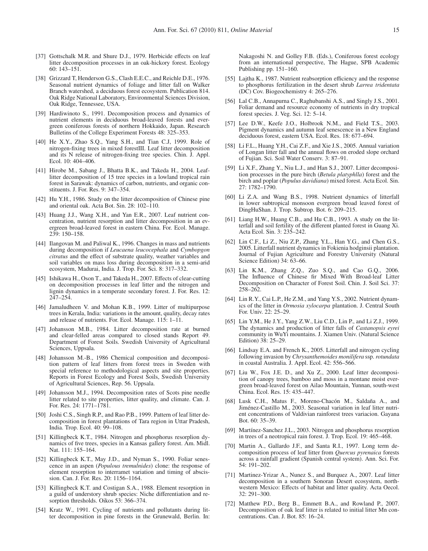- [37] Gottschalk M.R. and Shure D.J., 1979. Herbicide effects on leaf litter decomposition processes in an oak-hickory forest. Ecology 60: 143–151.
- [38] Grizzard T, Henderson G.S., Clash E.E.C., and Reichle D.E., 1976. Seasonal nutrient dynamics of foliage and litter fall on Walker Branch watershed, a deciduous forest ecosystem. Publication 814. Oak Ridge National Laboratory, Environmental Sciences Division, Oak Ridge, Tennessee, USA.
- [39] Hardiwinoto S., 1991. Decomposition process and dynamics of nutrient elements in deciduous broad-leaved forests and evergreen coniferous forests of northern Hokkaido, Japan. Research Bulletins of the College Experiment Forests 48: 325–353.
- [40] He X.Y., Zhao S.Q., Yang S.H., and Tian C.J, 1999. Role of nitrogen-fixing trees in mixed forestIII. Leaf litter decomposition and its N release of nitrogen-fixing tree species. Chin. J. Appl. Ecol. 10: 404–406.
- [41] Hirobe M., Sabang J., Bhatta B.K., and Takeda H., 2004. Leaflitter decomposition of 15 tree species in a lowland tropical rain forest in Sarawak: dynamics of carbon, nutrients, and organic constituents. J. For. Res. 9: 347–354.
- [42] Hu Y.H., 1986. Study on the litter decomposition of Chinese pine and oriental oak. Acta Bot. Sin. 28: 102–110.
- [43] Huang J.J., Wang X.H., and Yan E.R., 2007. Leaf nutrient concentration, nutrient resorption and litter decomposition in an evergreen broad-leaved forest in eastern China. For. Ecol. Manage. 239: 150–158.
- [44] Ilangovan M. and Paliwal K., 1996. Changes in mass and nutrients during decomposition if *Leucaena leucocephala* and *Cymbopgon citratus* and the effect of substrate quality, weather variables and soil variables on mass loss during decomposition in a semi-arid ecosystem, Madurai, India. J. Trop. For. Sci. 8: 317–332.
- [45] Ishikawa H., Oson T., and Takeda H., 2007. Effects of clear-cutting on decomposition processes in leaf litter and the nitrogen and lignin dynamics in a temperate secondary forest. J. For. Res. 12: 247–254.
- [46] Jamaludheen V. and Mohan K.B., 1999. Litter of multipurpose trees in Kerala, India: variations in the amount, quality, decay rates and release of nutrients. For. Ecol. Manage. 115: 1–11.
- [47] Johansson M.B., 1984. Litter decomposition rate at burned and clear-felled areas compared to closed stands Report 49. Department of Forest Soils. Swedish University of Agricultural Sciences, Uppsala.
- [48] Johansson M.-B., 1986 Chemical composition and decomposition pattern of leaf litters from forest trees in Sweden with special reference to methodological aspects and site properties. Reports in Forest Ecology and Forest Soils, Swedish University of Agricultural Sciences, Rep. 56. Uppsala.
- [49] Johansson M.J., 1994. Decomposition rates of Scots pine needle litter related to site properties, litter quality, and climate. Can. J. For. Res. 24: 1771–1781.
- [50] Joshi C.S., Singh R.P., and Rao P.B., 1999. Pattern of leaf litter decomposition in forest plantations of Tara region in Uttar Pradesh, India. Trop. Ecol. 40: 99–108.
- [51] Killingbeck K.T., 1984. Nitrogen and phosphorus resorplion dynamics of five trees, species in a Kansas gallery forest. Am. Midl. Nat. 111: 155–164.
- [52] Killingbeck K.T., May J.D., and Nyman S., 1990. Foliar senescence in an aspen (*Populous tremulnides*) clone: the response of element resorption to interramet variation and timing of abscission. Can. J. For. Res. 20: 1156–1164.
- [53] Killingbeck K.T. and Costigan S.A., 1988. Element resorption in a guild of understory shrub species: Niche differentiation and resorption thresholds. Oikos 53: 366–374.
- [54] Kratz W., 1991. Cycling of nutrients and pollutants during litter decomposition in pine forests in the Grunewald, Berlin. In:

Nakagoshi N. and Golley F.B. (Eds.), Coniferous forest ecology from an international perspective, The Hague, SPB Academic Publishing pp. 151–160.

- [55] Lajtha K., 1987. Nutrient reabsorption efficiency and the response to phosphorus fertilization in the desert shrub *Larrea tridentata* (DC) Cov. Biogeochemistry 4: 265–276.
- [56] Lal C.B., Annapurna C., Raghubanshi A.S., and Singly J.S., 2001. Foliar demand and resource economy of nutrients in dry tropical forest species. J. Veg. Sci. 12: 5–14.
- [57] Lee D.W., Keefe J.O., Holbrook N.M., and Field T.S., 2003. Pigment dynamics and autumn leaf senescence in a New England deciduous forest, eastern USA. Ecol. Res. 18: 677–694.
- [58] Li F.L., Huang Y.H., Cai Z.F., and Xie J.S., 2005. Annual variation of Longan litter fall and the annual flows on eroded slope orchard of Fujian. Sci. Soil Water Conserv. 3: 87–91.
- [59] Li X.F., Zhang Y., Niu L.J., and Han S.J., 2007. Litter decomposition processes in the pure birch (*Betula platyphlla*) forest and the birch and poplar (*Populus davidiana*) mixed forest. Acta Ecol. Sin. 27: 1782–1790.
- [60] Li Z.A. and Wang B.S., 1998. Nutrient dynamics of litterfall in lower subtropical monsoon evergreen broad leaved forest of DingHuShan. J. Trop. Subtrop. Bot. 6: 209–215.
- [61] Liang H.W., Huang C.B., and Hu C.B., 1993. A study on the litterfall and soil fertility of the different planted forest in Guang Xi. Acta Ecol. Sin. 3: 235–242.
- [62] Lin C.F., Li Z., Niu Z.P., Zhang Y.L., Han Y.G., and Chen G.S., 2005. Litterfall nutrient dynamics in Fokienia hodginsii plantation. Journal of Fujian Agriculture and Forestry University (Natural Science Edition) 34: 63–66.
- [63] Lin K.M., Zhang Z.Q., Zuo S.Q., and Cao G.Q., 2006. The Influence of Chinese fir Mixed With Broad-leaf Litter Decomposition on Character of Forest Soil. Chin. J. Soil Sci. 37: 258–262.
- [64] Lin R.Y., Cai L.P., He Z.M., and Yang Y.S., 2002. Nutrient dynamics of the litter in *Ormosia xylocarpa* plantation. J. Central South For. Univ. 22: 25–29.
- [65] Lin Y.M., He J.Y., Yang Z.W., Liu C.D., Lin P., and Li Z.J., 1999. The dynamics and production of litter falls of *Castanopsis eyrei* community in WuYi mountains. J. Xiamen Univ. (Natural Science Edition) 38: 25–29.
- [66] Lindsay E.A. and French K., 2005. Litterfall and nitrogen cycling following invasion by *Chrysanthemoides monilifera* ssp. *rotundata* in coastal Australia. J. Appl. Ecol. 42: 556–566.
- [67] Liu W., Fox J.E. D., and Xu Z., 2000. Leaf litter decomposition of canopy trees, bamboo and moss in a montane moist evergreen broad-leaved forest on Ailao Mountain, Yunnan, south-west China. Ecol. Res. 15: 435–447.
- [68] Lusk C.H., Matus F., Moreno-Chacón M., Saldaña A., and Jiménez-Castillo M., 2003. Seasonal variation in leaf litter nutrient concentrations of Valdivian rainforest trees variacion. Gayana Bot. 60: 35–39.
- [69] Martínez-Sanchez J.L., 2003. Nitrogen and phosphorus resorption in trees of a neotropical rain forest. J. Trop. Ecol. 19: 465–468.
- [70] Martin A., Gallardo J.F., and Santa R.I., 1997. Long term decomposition process of leaf litter from *Quercus pyrenaica* forests across a rainfall gradient (Spanish central system). Ann. Sci. For. 54: 191–202.
- [71] Martinez-Yrizar A., Nunez S., and Burquez A., 2007. Leaf litter decomposition in a southern Sonoran Desert ecosystem, northwestern Mexico: Effects of habitat and litter quality. Acta Oecol. 32: 291–300.
- [72] Matthew P.D., Berg B., Emmett B.A., and Rowland P., 2007. Decomposition of oak leaf litter is related to initial litter Mn concentrations. Can. J. Bot. 85: 16–24.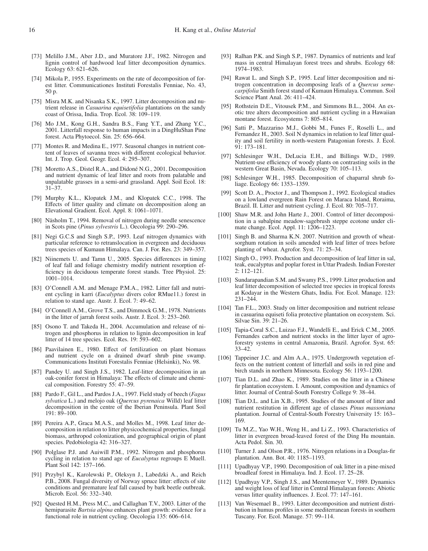- [73] Melillo J.M., Aber J.D., and Muratore J.F., 1982. Nitrogen and lignin control of hardwood leaf litter decomposition dynamics. Ecology 63: 621–626.
- [74] Mikola P., 1955. Experiments on the rate of decomposition of forest litter. Communicationes Instituti Forestalis Fenniae, No. 43, 50 p.
- [75] Misra M.K. and Nisanka S.K., 1997. Litter decomposition and nutrient release in *Casuarina equisetifolia* plantations on the sandy coast of Orissa, India. Trop. Ecol. 38: 109–119.
- [76] Mo J.M., Kong G.H., Sandra B.S., Fang Y.T., and Zhang Y.C., 2001. Litterfall response to human impacts in a DingHuShan Pine forest. Acta Phytoecol. Sin. 25: 656–664.
- [77] Montes R. and Medina E., 1977. Seasonal changes in nutrient content of leaves of savanna trees with different ecological behavior. Int. J. Trop. Geol. Geogr. Ecol. 4: 295–307.
- [78] Moretto A.S., Distel R.A., and Didoné N.G., 2001. Decomposition and nutrient dynamic of leaf litter and roots from palatable and unpalatable grasses in a semi-arid grassland. Appl. Soil Ecol. 18: 31–37.
- [79] Murphy K.L., Klopatek J.M., and Klopatek C.C., 1998. The Effects of litter quality and climate on decomposition along an Elevational Gradient. Ecol. Appl. 8: 1061–1071.
- [80] Näsholm T., 1994. Removal of nitrogen during needle senescence in Scots pine (*Pinus sylvestris* L.). Oecologia 99: 290–296.
- [81] Negi G.C.S and Singh S.P., 1993. Leaf nitrogen dynamics with particular reference to retranslocation in evergreen and deciduous trees species of Kumaun Himalaya. Can. J. For. Res. 23: 349–357.
- [82] Niinemets U. and Tamn U., 2005. Species differences in timing of leaf fall and foliage chemistry modify nutrient resorption efficiency in deciduous temperate forest stands. Tree Physiol. 25: 1001–1014.
- [83] O'Connell A.M. and Menage P.M.A., 1982. Litter fall and nutrient cycling in karri (*Eucalyptus* divers color RMue11.) forest in relation to stand age. Austr. J. Ecol. 7: 49–62.
- [84] O'Connell A.M., Grove T.S., and Dimmock G.M., 1978. Nutrients in the litter of jarrah forest soils. Austr. J. Ecol. 3: 253–260.
- [85] Osono T. and Takeda H., 2004. Accumulation and release of nitrogen and phosphorus in relation to lignin decomposition in leaf litter of 14 tree species. Ecol. Res. 19: 593–602.
- [86] Paavilainen E., 1980. Effect of fertilization on plant biomass and nutrient cycle on a drained dwarf shrub pine swamp. Communications Instituti Forestalis Fenniae (Helsinki), No. 98.
- [87] Pandey U. and Singh J.S., 1982. Leaf-litter decomposition in an oak-conifer forest in Himalaya: The effects of climate and chemical composition. Forestry 55: 47–59.
- [88] Pardo F., Gil L., and Pardos J.A., 1997. Field study of beech (*Fagus sylvatica* L.) and melojo oak (*Quercus pyrenaica* Willd) leaf litter decomposition in the centre of the Iberian Peninsula. Plant Soil 191: 89–100.
- [89] Pereira A.P., Graca M.A.S., and Molles M., 1998. Leaf litter decomposition in relation to litter physicochemical properties, fungal biomass, arthropod colonization, and geographical origin of plant species. Pedobiologia 42: 316–327.
- [90] Polglase P.J. and Auiwill P.M., 1992. Nitrogen and phosphorus cycling in relation to stand age of *Eucalyptus* regroups E Muell. Plant Soil 142: 157–166.
- [91] Przybyl K., Karolewski P., Oleksyn J., Labedzki A., and Reich P.B., 2008. Fungal diversity of Norway spruce litter: effects of site conditions and premature leaf fall caused by bark beetle outbreak. Microb. Ecol. 56: 332–340.
- [92] Quested H.M., Press M.C., and Callaghan T.V., 2003. Litter of the hemiparasite *Bartsia alpina* enhances plant growth: evidence for a functional role in nutrient cycling. Oecologia 135: 606–614.
- [93] Ralhan P.K. and Singh S.P., 1987. Dynamics of nutrients and leaf mass in central Himalayan forest trees and shrubs. Ecology 68: 1974–1983.
- [94] Rawat L. and Singh S.P., 1995. Leaf litter decomposition and nitrogen concentration in decomposing leafs of a *Quercus semecarpifolia* Smith forest stand of Kumaun Himalaya. Commun. Soil Science Plant Anal. 26: 411–424.
- [95] Rothstein D.E., Vitousek P.M., and Simmons B.L., 2004. An exotic tree alters decomposition and nutrient cycling in a Hawaiian montane forest. Ecosystems 7: 805–814.
- [96] Satti P., Mazzarino M.J., Gobbi M., Funes F., Roselli L., and Fernandez H., 2003. Soil N dynamics in relation to leaf litter quality and soil fertility in north-western Patagonian forests. J. Ecol. 91: 173–181.
- [97] Schlesinger W.H., DeLucia E.H., and Billings W.D., 1989. Nutrient-use efficiency of woody plants on contrasting soils in the western Great Basin, Nevada. Ecology 70: 105–113.
- [98] Schlesinger W.H., 1985. Decomposition of chaparral shrub foliage. Ecology 66: 1353–1359.
- [99] Scott D. A., Proctor J., and Thompson J., 1992. Ecological studies on a lowland evergreen Rain Forest on Maraca Island, Roraima, Brazil. II. Litter and nutrient cycling. J. Ecol. 80: 705–717.
- [100] Shaw M.R. and John Harte J., 2001. Control of litter decomposition in a subalpine meadow-sagebrush steppe ecotone under climate change. Ecol. Appl. 11: 1206–1223.
- [101] Singh B. and Sharma K.N. 2007. Nutrition and growth of wheatsorghum rotation in soils amended with leaf litter of trees before planting of wheat. Agrofor. Syst. 71: 25–34.
- [102] Singh O., 1993. Production and decomposition of leaf litter in sal, teak, eucalyptus and poplar forest in Uttar Pradesh. Indian Forester 2: 112–121.
- [103] Sundarapandian S.M. and Swamy P.S., 1999. Litter production and leaf litter decomposition of selected tree species in tropical forests at Kodayar in the Western Ghats, India. For. Ecol. Manage. 123: 231–244.
- [104] Tan F.L., 2003. Study on litter decomposition and nutrient release in casuarina equiseti folia protective plantation on ecosystem. Sci. Silvae Sin. 39: 21–26.
- [105] Tapia-Coral S.C., Luizao F.J., Wandelli E., and Erick C.M., 2005. Fernandes carbon and nutrient stocks in the litter layer of agroforestry systems in central Amazonia, Brazil. Agrofor. Syst. 65: 33–42.
- [106] Tappeiner J.C. and Alm A.A., 1975. Undergrowth vegetation effects on the nutrient content of litterfall and soils in red pine and birch stands in northern Minnesota. Ecology 56: 1193–1200.
- [107] Tian D.L. and Zhao K., 1989. Studies on the litter in a Chinese fir plantation ecosystem. I. Amount, composition and dynamics of litter. Journal of Central-South Forestry College 9: 38–44.
- [108] Tian D.L. and Lin X.B., 1995. Studies of the amount of litter and nutrient restitution in different age of classes *Pinus massoniana* plantation. Journal of Central-South Forestry University 15: 163– 169.
- [109] Tu M.Z., Yao W.H., Weng H., and Li Z., 1993. Characteristics of litter in evergreen broad-leaved forest of the Ding Hu mountain. Acta Pedol. Sin. 30.
- [110] Turner J. and Olson P.R., 1976. Nitrogen relations in a Douglas-fir plantation. Ann. Bot. 40: 1185–1193.
- [111] Upadhyay V.P., 1990. Decomposition of oak litter in a pine-mixed broadleaf forest in Himalaya. Ind. J. Ecol. 17. 25–28.
- [112] Upadhyay V.P., Singh J.S., and Meentemeyer V., 1989. Dynamics and weight loss of leaf litter in Central Himalayan forests: Abiotic versus litter quality influences. J. Ecol. 77: 147–161.
- [113] Van Wesemael B., 1993. Litter decomposition and nutrient distribution in humus profiles in some mediterranean forests in southern Tuscany. For. Ecol. Manage. 57: 99–114.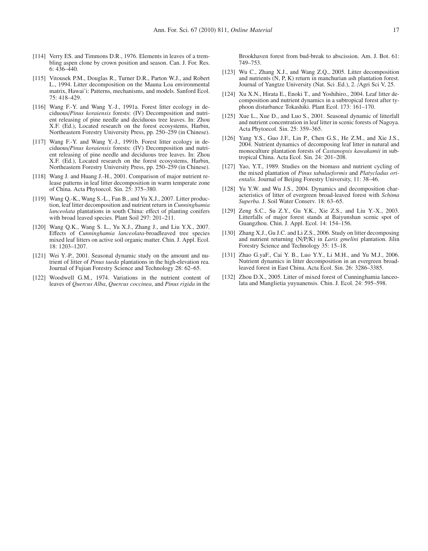- [114] Verry ES. and Timmons D.R., 1976. Elements in leaves of a trembling aspen clone by crown position and season. Can. J. For. Res. 6: 436–440.
- [115] Vitousek P.M., Douglas R., Turner D.R., Parton W.J., and Robert L., 1994. Litter decomposition on the Mauna Loa environmental matrix, Hawai'i: Patterns, mechanisms, and models. Sanford Ecol. 75: 418–429.
- [116] Wang F.-Y. and Wang Y.-J., 1991a. Forest litter ecology in deciduous/*Pinus koraiensis* forests: (IV) Decomposition and nutrient releasing of pine needle and deciduous tree leaves. In: Zhou X.F. (Ed.), Located research on the forest ecosystems, Harbin, Northeastern Forestry University Press, pp. 250–259 (in Chinese).
- [117] Wang F.-Y. and Wang Y.-J., 1991b. Forest litter ecology in deciduous/*Pinus koraiensis* forests: (IV) Decomposition and nutrient releasing of pine needle and deciduous tree leaves. In: Zhou X.F. (Ed.), Located research on the forest ecosystems, Harbin, Northeastern Forestry University Press, pp. 250–259 (in Chinese).
- [118] Wang J. and Huang J.-H., 2001. Comparison of major nutrient release patterns in leaf litter decomposition in warm temperate zone of China. Acta Phytoecol. Sin. 25: 375–380.
- [119] Wang Q.-K., Wang S.-L., Fan B., and Yu X.J., 2007. Litter production, leaf litter decomposition and nutrient return in *Cunninghamia lanceolata* plantations in south China: effect of planting conifers with broad leaved species. Plant Soil 297: 201–211.
- [120] Wang Q.K., Wang S. L., Yu X.J., Zhang J., and Liu Y.X., 2007. Effects of *Cunninghamia lanceolata*-broadleaved tree species mixed leaf litters on active soil organic matter. Chin. J. Appl. Ecol. 18: 1203–1207.
- [121] Wei Y.-P., 2001. Seasonal dynamic study on the amount and nutrient of litter of *Pinus taeda* plantations in the high-elevation rea. Journal of Fujian Forestry Science and Technology 28: 62–65.
- [122] Woodwell G.M., 1974. Variations in the nutrient content of leaves of *Quercus Alba*, *Quercus coccinea*, and *Pinus rigida* in the

Brookhaven forest from bud-break to abscission. Am. J. Bot. 61: 749–753.

- [123] Wu C., Zhang X.J., and Wang Z.Q., 2005. Litter decomposition and nutrients (N, P, K) return in manchurian ash plantation forest. Journal of Yangtze University (Nat. Sci .Ed.), 2. /Agri Sci V, 25.
- [124] Xu X.N., Hirata E., Enoki T., and Yoshihiro., 2004. Leaf litter decomposition and nutrient dynamics in a subtropical forest after typhoon disturbance Tokashiki. Plant Ecol. 173: 161–170.
- [125] Xue L., Xue D., and Luo S., 2001. Seasonal dynamic of litterfall and nutrient concentration in leaf litter in scenic forests of Nagoya. Acta Phytoecol. Sin. 25: 359–365.
- [126] Yang Y.S., Guo J.F., Lin P., Chen G.S., He Z.M., and Xie J.S., 2004. Nutrient dynamics of decomposing leaf litter in natural and monoculture plantation forests of *Castanopsis kawakamii* in subtropical China. Acta Ecol. Sin. 24: 201–208.
- [127] Yao, Y.T., 1989. Studies on the biomass and nutrient cycling of the mixed plantation of *Pinus tabulaeformis* and *Platycladus orientalis*. Journal of Beijing Forestry University, 11: 38–46.
- [128] Yu Y.W. and Wu J.S., 2004. Dynamics and decomposition characteristics of litter of evergreen broad-leaved forest with *Schima Superba*. J. Soil Water Conserv. 18: 63–65.
- [129] Zeng S.C., Su Z.Y., Gu Y.K., Xie Z.S., and Liu Y.-X., 2003. Litterfalls of major forest stands at Baiyunshan scenic spot of Guangzhou. Chin. J. Appl. Ecol. 14: 154–156.
- [130] Zhang X.J., Gu J.C. and Li Z.S., 2006. Study on litter decomposing and nutrient returning (N/P/K) in *Larix gmelini* plantation. Jilin Forestry Science and Technology 35: 15–18.
- [131] Zhao G.yaF., Cai Y. B., Luo Y.Y., Li M.H., and Yu M.J., 2006. Nutrient dynamics in litter decomposition in an evergreen broadleaved forest in East China. Acta Ecol. Sin. 26: 3286–3385.
- [132] Zhou D.X., 2005. Litter of mixed forest of Cunninghamia lanceolata and Manglietia yuyuanensis. Chin. J. Ecol. 24: 595–598.